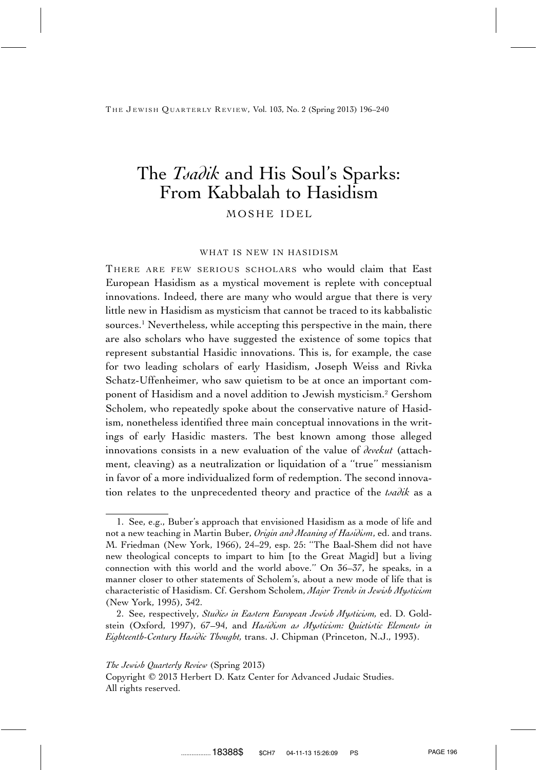# The *Tsadik* and His Soul's Sparks: From Kabbalah to Hasidism

# MOSHE IDEL

## WHAT IS NEW IN HASIDISM

THERE ARE FEW SERIOUS SCHOLARS who would claim that East European Hasidism as a mystical movement is replete with conceptual innovations. Indeed, there are many who would argue that there is very little new in Hasidism as mysticism that cannot be traced to its kabbalistic sources.<sup>1</sup> Nevertheless, while accepting this perspective in the main, there are also scholars who have suggested the existence of some topics that represent substantial Hasidic innovations. This is, for example, the case for two leading scholars of early Hasidism, Joseph Weiss and Rivka Schatz-Uffenheimer, who saw quietism to be at once an important component of Hasidism and a novel addition to Jewish mysticism.2 Gershom Scholem, who repeatedly spoke about the conservative nature of Hasidism, nonetheless identified three main conceptual innovations in the writings of early Hasidic masters. The best known among those alleged innovations consists in a new evaluation of the value of *devekut* (attachment, cleaving) as a neutralization or liquidation of a ''true'' messianism in favor of a more individualized form of redemption. The second innovation relates to the unprecedented theory and practice of the *tsadik* as a

<sup>1.</sup> See, e.g., Buber's approach that envisioned Hasidism as a mode of life and not a new teaching in Martin Buber, *Origin and Meaning of Hasidism*, ed. and trans. M. Friedman (New York, 1966), 24–29, esp. 25: ''The Baal-Shem did not have new theological concepts to impart to him [to the Great Magid] but a living connection with this world and the world above.'' On 36–37, he speaks, in a manner closer to other statements of Scholem's, about a new mode of life that is characteristic of Hasidism. Cf. Gershom Scholem, *Major Trends in Jewish Mysticism* (New York, 1995), 342.

<sup>2.</sup> See, respectively, *Studies in Eastern European Jewish Mysticism,* ed. D. Goldstein (Oxford, 1997), 67–94, and *Hasidism as Mysticism: Quietistic Elements in Eighteenth-Century Hasidic Thought,* trans. J. Chipman (Princeton, N.J., 1993).

*The Jewish Quarterly Review* (Spring 2013)

Copyright © 2013 Herbert D. Katz Center for Advanced Judaic Studies. All rights reserved.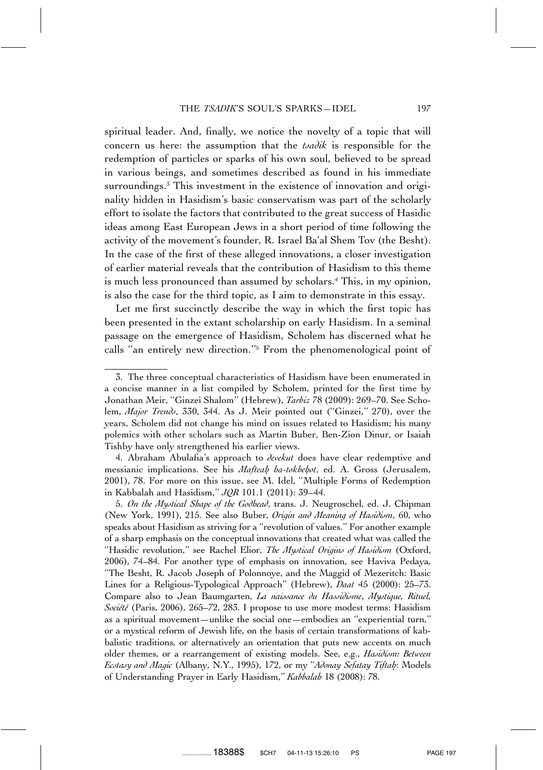spiritual leader. And, finally, we notice the novelty of a topic that will concern us here: the assumption that the *tsadik* is responsible for the redemption of particles or sparks of his own soul, believed to be spread in various beings, and sometimes described as found in his immediate surroundings.<sup>3</sup> This investment in the existence of innovation and originality hidden in Hasidism's basic conservatism was part of the scholarly effort to isolate the factors that contributed to the great success of Hasidic ideas among East European Jews in a short period of time following the activity of the movement's founder, R. Israel Ba'al Shem Tov (the Besht). In the case of the first of these alleged innovations, a closer investigation of earlier material reveals that the contribution of Hasidism to this theme is much less pronounced than assumed by scholars.<sup>4</sup> This, in my opinion, is also the case for the third topic, as I aim to demonstrate in this essay.

Let me first succinctly describe the way in which the first topic has been presented in the extant scholarship on early Hasidism. In a seminal passage on the emergence of Hasidism, Scholem has discerned what he calls ''an entirely new direction.''5 From the phenomenological point of

4. Abraham Abulafia's approach to *devekut* does have clear redemptive and messianic implications. See his *Mafteah ha-tokhehot*, ed. A. Gross (Jerusalem, 2001), 78. For more on this issue, see M. Idel, ''Multiple Forms of Redemption in Kabbalah and Hasidism,'' *JQR* 101.1 (2011): 39–44.

5. *On the Mystical Shape of the Godhead*, trans. J. Neugroschel, ed. J. Chipman (New York, 1991), 215. See also Buber, *Origin and Meaning of Hasidism*, 60, who speaks about Hasidism as striving for a ''revolution of values.'' For another example of a sharp emphasis on the conceptual innovations that created what was called the ''Hasidic revolution,'' see Rachel Elior, *The Mystical Origins of Hasidism* (Oxford, 2006), 74–84. For another type of emphasis on innovation, see Haviva Pedaya, ''The Besht, R. Jacob Joseph of Polonnoye, and the Maggid of Mezeritch: Basic Lines for a Religious-Typological Approach'' (Hebrew), *Daat* 45 (2000): 25–73. Compare also to Jean Baumgarten, *La naissance du Hassidisme*, *Mystique, Rituel,* Société (Paris, 2006), 265–72, 283. I propose to use more modest terms: Hasidism as a spiritual movement—unlike the social one—embodies an ''experiential turn,'' or a mystical reform of Jewish life, on the basis of certain transformations of kabbalistic traditions, or alternatively an orientation that puts new accents on much older themes, or a rearrangement of existing models. See, e.g., *Hasidism: Between Ecstasy and Magic* (Albany, N.Y., 1995), 172, or my ''*Adonay Sefatay Tiftah.* : Models of Understanding Prayer in Early Hasidism,'' *Kabbalah* 18 (2008): 78.

<sup>3.</sup> The three conceptual characteristics of Hasidism have been enumerated in a concise manner in a list compiled by Scholem, printed for the first time by Jonathan Meir, ''Ginzei Shalom'' (Hebrew), *Tarbiz* 78 (2009): 269–70. See Scholem, *Major Trends*, 330, 344. As J. Meir pointed out (''Ginzei,'' 270), over the years, Scholem did not change his mind on issues related to Hasidism; his many polemics with other scholars such as Martin Buber, Ben-Zion Dinur, or Isaiah Tishby have only strengthened his earlier views.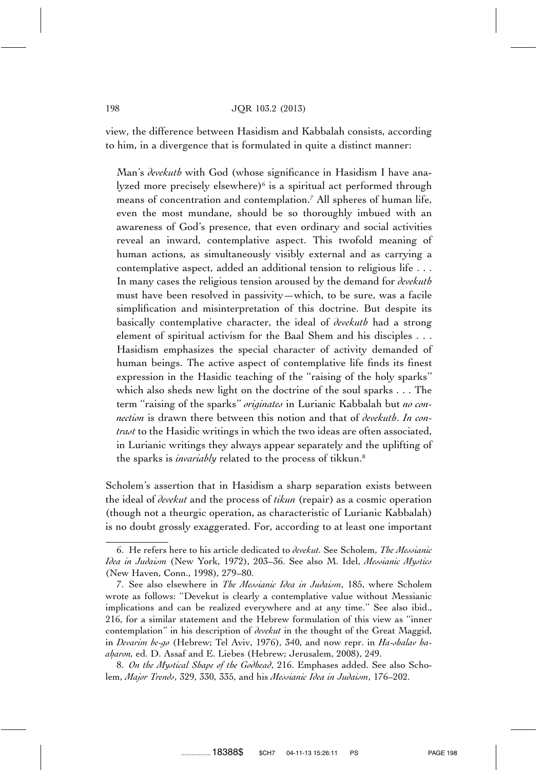## 198 JQR 103.2 (2013)

view, the difference between Hasidism and Kabbalah consists, according to him, in a divergence that is formulated in quite a distinct manner:

Man's *devekuth* with God (whose significance in Hasidism I have analyzed more precisely elsewhere)<sup>6</sup> is a spiritual act performed through means of concentration and contemplation.<sup>7</sup> All spheres of human life, even the most mundane, should be so thoroughly imbued with an awareness of God's presence, that even ordinary and social activities reveal an inward, contemplative aspect. This twofold meaning of human actions, as simultaneously visibly external and as carrying a contemplative aspect, added an additional tension to religious life . . . In many cases the religious tension aroused by the demand for *devekuth* must have been resolved in passivity—which, to be sure, was a facile simplification and misinterpretation of this doctrine. But despite its basically contemplative character, the ideal of *devekuth* had a strong element of spiritual activism for the Baal Shem and his disciples . . . Hasidism emphasizes the special character of activity demanded of human beings. The active aspect of contemplative life finds its finest expression in the Hasidic teaching of the ''raising of the holy sparks'' which also sheds new light on the doctrine of the soul sparks . . . The term ''raising of the sparks'' *originates* in Lurianic Kabbalah but *no connection* is drawn there between this notion and that of *devekuth*. *In contrast* to the Hasidic writings in which the two ideas are often associated, in Lurianic writings they always appear separately and the uplifting of the sparks is *invariably* related to the process of tikkun.8

Scholem's assertion that in Hasidism a sharp separation exists between the ideal of *devekut* and the process of *tikun* (repair) as a cosmic operation (though not a theurgic operation, as characteristic of Lurianic Kabbalah) is no doubt grossly exaggerated. For, according to at least one important

<sup>6.</sup> He refers here to his article dedicated to *devekut.* See Scholem, *The Messianic Idea in Judaism* (New York, 1972), 203–36. See also M. Idel, *Messianic Mystics* (New Haven, Conn., 1998), 279–80.

<sup>7.</sup> See also elsewhere in *The Messianic Idea in Judaism*, 185, where Scholem wrote as follows: ''Devekut is clearly a contemplative value without Messianic implications and can be realized everywhere and at any time.'' See also ibid., 216, for a similar statement and the Hebrew formulation of this view as ''inner contemplation'' in his description of *devekut* in the thought of the Great Maggid, in *Devarim be-go* (Hebrew; Tel Aviv, 1976), 340, and now repr. in *Ha-shalav ha*aharon, ed. D. Assaf and E. Liebes (Hebrew; Jerusalem, 2008), 249.

<sup>8.</sup> *On the Mystical Shape of the Godhead*, 216. Emphases added. See also Scholem, *Major Trends*, 329, 330, 335, and his *Messianic Idea in Judaism*, 176–202.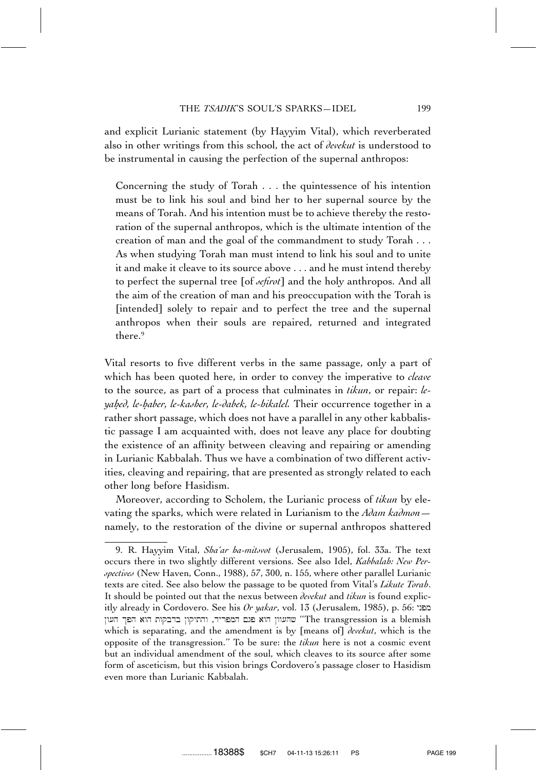and explicit Lurianic statement (by Hayyim Vital), which reverberated also in other writings from this school, the act of *devekut* is understood to be instrumental in causing the perfection of the supernal anthropos:

Concerning the study of Torah . . . the quintessence of his intention must be to link his soul and bind her to her supernal source by the means of Torah. And his intention must be to achieve thereby the restoration of the supernal anthropos, which is the ultimate intention of the creation of man and the goal of the commandment to study Torah . . . As when studying Torah man must intend to link his soul and to unite it and make it cleave to its source above . . . and he must intend thereby to perfect the supernal tree [of *sefirot*] and the holy anthropos. And all the aim of the creation of man and his preoccupation with the Torah is [intended] solely to repair and to perfect the tree and the supernal anthropos when their souls are repaired, returned and integrated there.<sup>9</sup>

Vital resorts to five different verbs in the same passage, only a part of which has been quoted here, in order to convey the imperative to *cleave* to the source, as part of a process that culminates in *tikun*, or repair: *leyahed, le-haber, le-kasher, le-dabek, le-hikalel*. Their occurrence together in a rather short passage, which does not have a parallel in any other kabbalistic passage I am acquainted with, does not leave any place for doubting the existence of an affinity between cleaving and repairing or amending in Lurianic Kabbalah. Thus we have a combination of two different activities, cleaving and repairing, that are presented as strongly related to each other long before Hasidism.

Moreover, according to Scholem, the Lurianic process of *tikun* by elevating the sparks, which were related in Lurianism to the *Adam kadmon* namely, to the restoration of the divine or supernal anthropos shattered

<sup>9.</sup> R. Hayyim Vital, *Sha'ar ha-mitsvot* (Jerusalem, 1905), fol. 33a. The text occurs there in two slightly different versions. See also Idel, *Kabbalah: New Perspectives* (New Haven, Conn., 1988), 57, 300, n. 155, where other parallel Lurianic texts are cited. See also below the passage to be quoted from Vital's *Likute Torah*. It should be pointed out that the nexus between *devekut* and *tikun* is found explicitly already in Cordovero. See his *Or yakar*, vol. 13 (Jerusalem, 1985), p. 56: ynpm שהעוון הוא פגם המפריד, והתיקון בדבקות הוא הפך העון "The transgression is a blemish which is separating, and the amendment is by [means of] *devekut*, which is the opposite of the transgression.'' To be sure: the *tikun* here is not a cosmic event but an individual amendment of the soul, which cleaves to its source after some form of asceticism, but this vision brings Cordovero's passage closer to Hasidism even more than Lurianic Kabbalah.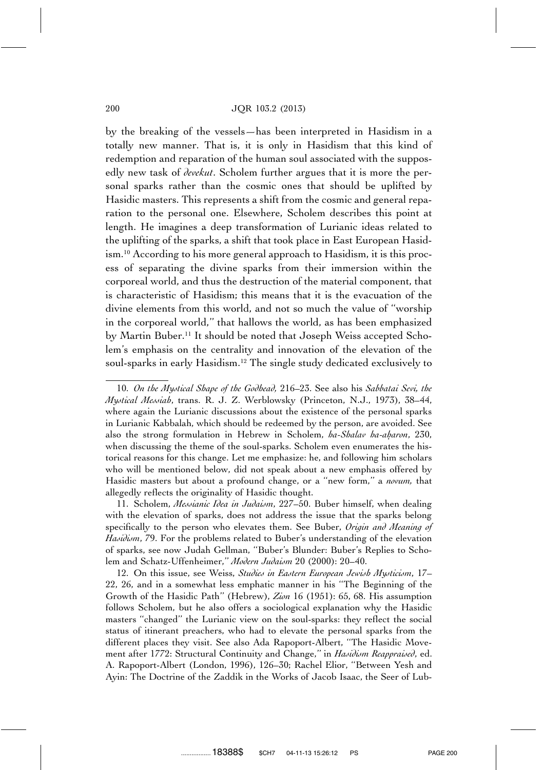by the breaking of the vessels—has been interpreted in Hasidism in a totally new manner. That is, it is only in Hasidism that this kind of redemption and reparation of the human soul associated with the supposedly new task of *devekut*. Scholem further argues that it is more the personal sparks rather than the cosmic ones that should be uplifted by Hasidic masters. This represents a shift from the cosmic and general reparation to the personal one. Elsewhere, Scholem describes this point at length. He imagines a deep transformation of Lurianic ideas related to the uplifting of the sparks, a shift that took place in East European Hasidism.10 According to his more general approach to Hasidism, it is this process of separating the divine sparks from their immersion within the corporeal world, and thus the destruction of the material component, that is characteristic of Hasidism; this means that it is the evacuation of the divine elements from this world, and not so much the value of ''worship in the corporeal world,'' that hallows the world, as has been emphasized by Martin Buber.<sup>11</sup> It should be noted that Joseph Weiss accepted Scholem's emphasis on the centrality and innovation of the elevation of the soul-sparks in early Hasidism.<sup>12</sup> The single study dedicated exclusively to

11. Scholem, *Messianic Idea in Judaism*, 227–50. Buber himself, when dealing with the elevation of sparks, does not address the issue that the sparks belong specifically to the person who elevates them. See Buber, *Origin and Meaning of Hasidism*, 79. For the problems related to Buber's understanding of the elevation of sparks, see now Judah Gellman, ''Buber's Blunder: Buber's Replies to Scholem and Schatz-Uffenheimer,'' *Modern Judaism* 20 (2000): 20–40.

12. On this issue, see Weiss, *Studies in Eastern European Jewish Mysticism*, 17– 22, 26, and in a somewhat less emphatic manner in his ''The Beginning of the Growth of the Hasidic Path'' (Hebrew), *Zion* 16 (1951): 65, 68. His assumption follows Scholem, but he also offers a sociological explanation why the Hasidic masters ''changed'' the Lurianic view on the soul-sparks: they reflect the social status of itinerant preachers, who had to elevate the personal sparks from the different places they visit. See also Ada Rapoport-Albert, ''The Hasidic Movement after 1772: Structural Continuity and Change,'' in *Hasidism Reappraised*, ed. A. Rapoport-Albert (London, 1996), 126–30; Rachel Elior, ''Between Yesh and Ayin: The Doctrine of the Zaddik in the Works of Jacob Isaac, the Seer of Lub-

<sup>10.</sup> *On the Mystical Shape of the Godhead,* 216–23. See also his *Sabbatai Sevi, the Mystical Messiah*, trans. R. J. Z. Werblowsky (Princeton, N.J., 1973), 38–44, where again the Lurianic discussions about the existence of the personal sparks in Lurianic Kabbalah, which should be redeemed by the person, are avoided. See also the strong formulation in Hebrew in Scholem, *ha-Shalav ha-aharon*, 230, when discussing the theme of the soul-sparks. Scholem even enumerates the historical reasons for this change. Let me emphasize: he, and following him scholars who will be mentioned below, did not speak about a new emphasis offered by Hasidic masters but about a profound change, or a ''new form,'' a *novum,* that allegedly reflects the originality of Hasidic thought.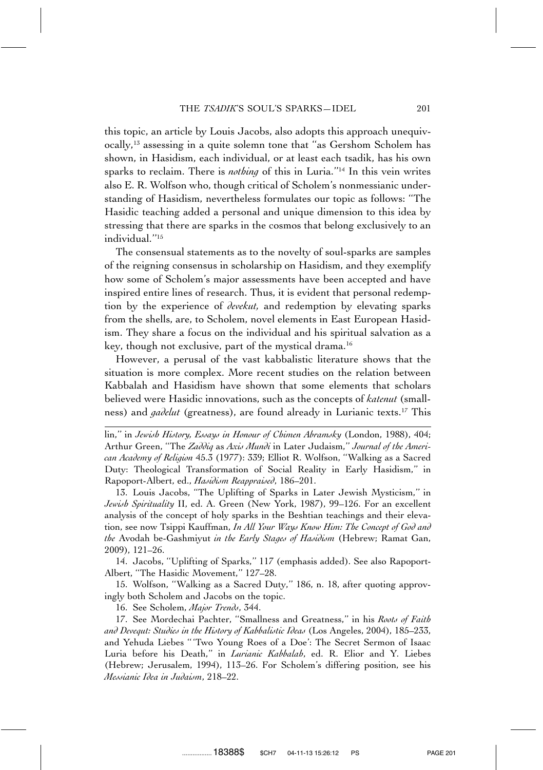this topic, an article by Louis Jacobs, also adopts this approach unequivocally,13 assessing in a quite solemn tone that ''as Gershom Scholem has shown, in Hasidism, each individual, or at least each tsadik, has his own sparks to reclaim. There is *nothing* of this in Luria.''14 In this vein writes also E. R. Wolfson who, though critical of Scholem's nonmessianic understanding of Hasidism, nevertheless formulates our topic as follows: ''The Hasidic teaching added a personal and unique dimension to this idea by stressing that there are sparks in the cosmos that belong exclusively to an individual.''15

The consensual statements as to the novelty of soul-sparks are samples of the reigning consensus in scholarship on Hasidism, and they exemplify how some of Scholem's major assessments have been accepted and have inspired entire lines of research. Thus, it is evident that personal redemption by the experience of *devekut,* and redemption by elevating sparks from the shells, are, to Scholem, novel elements in East European Hasidism. They share a focus on the individual and his spiritual salvation as a key, though not exclusive, part of the mystical drama.<sup>16</sup>

However, a perusal of the vast kabbalistic literature shows that the situation is more complex. More recent studies on the relation between Kabbalah and Hasidism have shown that some elements that scholars believed were Hasidic innovations, such as the concepts of *katenut* (smallness) and *gadelut* (greatness), are found already in Lurianic texts.<sup>17</sup> This

lin,'' in *Jewish History, Essays in Honour of Chimen Abramsky* (London, 1988), 404; Arthur Green, ''The *Zaddiq* as *Axis Mundi* in Later Judaism,'' *Journal of the American Academy of Religion* 45.3 (1977): 339; Elliot R. Wolfson, ''Walking as a Sacred Duty: Theological Transformation of Social Reality in Early Hasidism,'' in Rapoport-Albert, ed., *Hasidism Reappraised*, 186–201.

13. Louis Jacobs, ''The Uplifting of Sparks in Later Jewish Mysticism,'' in *Jewish Spirituality* II, ed. A. Green (New York, 1987), 99–126. For an excellent analysis of the concept of holy sparks in the Beshtian teachings and their elevation, see now Tsippi Kauffman, *In All Your Ways Know Him: The Concept of God and the* Avodah be-Gashmiyut *in the Early Stages of Hasidism* (Hebrew; Ramat Gan, 2009), 121–26.

14. Jacobs, ''Uplifting of Sparks,'' 117 (emphasis added). See also Rapoport-Albert, ''The Hasidic Movement,'' 127–28.

15. Wolfson, ''Walking as a Sacred Duty,'' 186, n. 18, after quoting approvingly both Scholem and Jacobs on the topic.

16. See Scholem, *Major Trends*, 344.

17. See Mordechai Pachter, ''Smallness and Greatness,'' in his *Roots of Faith and Devequt: Studies in the History of Kabbalistic Ideas* (Los Angeles, 2004), 185–233, and Yehuda Liebes '' 'Two Young Roes of a Doe': The Secret Sermon of Isaac Luria before his Death,'' in *Lurianic Kabbalah*, ed. R. Elior and Y. Liebes (Hebrew; Jerusalem, 1994), 113–26. For Scholem's differing position, see his *Messianic Idea in Judaism*, 218–22.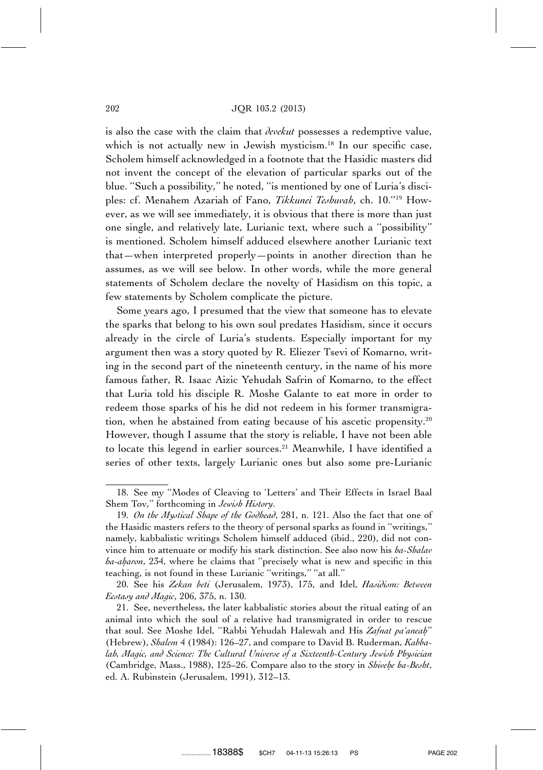is also the case with the claim that *devekut* possesses a redemptive value, which is not actually new in Jewish mysticism.<sup>18</sup> In our specific case, Scholem himself acknowledged in a footnote that the Hasidic masters did not invent the concept of the elevation of particular sparks out of the blue. ''Such a possibility,'' he noted, ''is mentioned by one of Luria's disciples: cf. Menahem Azariah of Fano, *Tikkunei Teshuvah*, ch. 10.''19 However, as we will see immediately, it is obvious that there is more than just one single, and relatively late, Lurianic text, where such a ''possibility'' is mentioned. Scholem himself adduced elsewhere another Lurianic text that—when interpreted properly—points in another direction than he assumes, as we will see below. In other words, while the more general statements of Scholem declare the novelty of Hasidism on this topic, a few statements by Scholem complicate the picture.

Some years ago, I presumed that the view that someone has to elevate the sparks that belong to his own soul predates Hasidism, since it occurs already in the circle of Luria's students. Especially important for my argument then was a story quoted by R. Eliezer Tsevi of Komarno, writing in the second part of the nineteenth century, in the name of his more famous father, R. Isaac Aizic Yehudah Safrin of Komarno, to the effect that Luria told his disciple R. Moshe Galante to eat more in order to redeem those sparks of his he did not redeem in his former transmigration, when he abstained from eating because of his ascetic propensity.20 However, though I assume that the story is reliable, I have not been able to locate this legend in earlier sources.<sup>21</sup> Meanwhile, I have identified a series of other texts, largely Lurianic ones but also some pre-Lurianic

<sup>18.</sup> See my ''Modes of Cleaving to 'Letters' and Their Effects in Israel Baal Shem Tov,'' forthcoming in *Jewish History*.

<sup>19.</sup> *On the Mystical Shape of the Godhead*, 281, n. 121. Also the fact that one of the Hasidic masters refers to the theory of personal sparks as found in ''writings,'' namely, kabbalistic writings Scholem himself adduced (ibid., 220), did not convince him to attenuate or modify his stark distinction. See also now his *ha-Shalav ha-aharon*, 234, where he claims that "precisely what is new and specific in this teaching, is not found in these Lurianic ''writings,'' ''at all.''

<sup>20.</sup> See his *Zekan beti* (Jerusalem, 1973), 175, and Idel, *Hasidism: Between Ecstasy and Magic*, 206, 375, n. 130.

<sup>21.</sup> See, nevertheless, the later kabbalistic stories about the ritual eating of an animal into which the soul of a relative had transmigrated in order to rescue that soul. See Moshe Idel, "Rabbi Yehudah Halewah and His *Zafnat pa'aneah*" (Hebrew), *Shalem* 4 (1984): 126–27, and compare to David B. Ruderman, *Kabbalah, Magic, and Science: The Cultural Universe of a Sixteenth-Century Jewish Physician* (Cambridge, Mass., 1988), 125–26. Compare also to the story in *Shivehe ha-Besht*, ed. A. Rubinstein (Jerusalem, 1991), 312–13.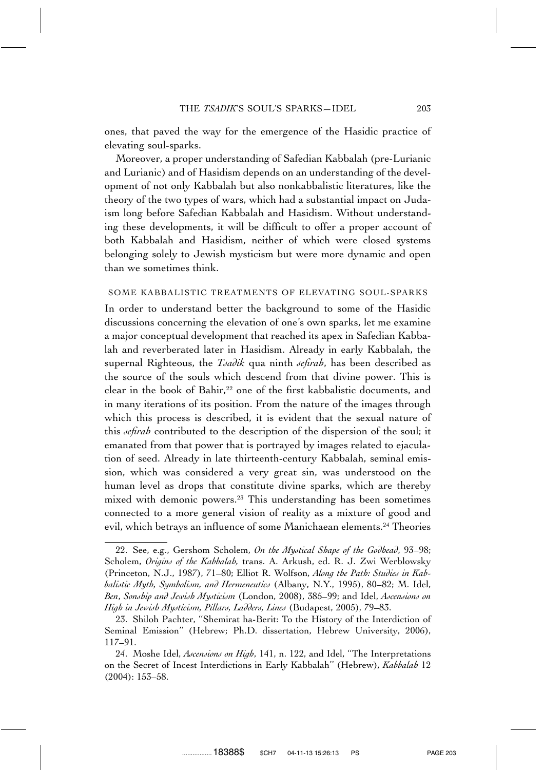ones, that paved the way for the emergence of the Hasidic practice of elevating soul-sparks.

Moreover, a proper understanding of Safedian Kabbalah (pre-Lurianic and Lurianic) and of Hasidism depends on an understanding of the development of not only Kabbalah but also nonkabbalistic literatures, like the theory of the two types of wars, which had a substantial impact on Judaism long before Safedian Kabbalah and Hasidism. Without understanding these developments, it will be difficult to offer a proper account of both Kabbalah and Hasidism, neither of which were closed systems belonging solely to Jewish mysticism but were more dynamic and open than we sometimes think.

## SOME KABBALISTIC TREATMENTS OF ELEVATING SOUL-SPARKS

In order to understand better the background to some of the Hasidic discussions concerning the elevation of one's own sparks, let me examine a major conceptual development that reached its apex in Safedian Kabbalah and reverberated later in Hasidism. Already in early Kabbalah, the supernal Righteous, the *Tsadik* qua ninth *sefirah*, has been described as the source of the souls which descend from that divine power. This is clear in the book of Bahir,<sup>22</sup> one of the first kabbalistic documents, and in many iterations of its position. From the nature of the images through which this process is described, it is evident that the sexual nature of this *sefirah* contributed to the description of the dispersion of the soul; it emanated from that power that is portrayed by images related to ejaculation of seed. Already in late thirteenth-century Kabbalah, seminal emission, which was considered a very great sin, was understood on the human level as drops that constitute divine sparks, which are thereby mixed with demonic powers.<sup>23</sup> This understanding has been sometimes connected to a more general vision of reality as a mixture of good and evil, which betrays an influence of some Manichaean elements.<sup>24</sup> Theories

<sup>22.</sup> See, e.g., Gershom Scholem, *On the Mystical Shape of the Godhead*, 93–98; Scholem, *Origins of the Kabbalah,* trans. A. Arkush, ed. R. J. Zwi Werblowsky (Princeton, N.J., 1987), 71–80; Elliot R. Wolfson, *Along the Path: Studies in Kabbalistic Myth, Symbolism, and Hermeneutics* (Albany, N.Y., 1995), 80–82; M. Idel, *Ben*, *Sonship and Jewish Mysticism* (London, 2008), 385–99; and Idel, *Ascensions on High in Jewish Mysticism, Pillars, Ladders, Lines* (Budapest, 2005), 79–83.

<sup>23.</sup> Shiloh Pachter, ''Shemirat ha-Berit: To the History of the Interdiction of Seminal Emission'' (Hebrew; Ph.D. dissertation, Hebrew University, 2006), 117–91.

<sup>24.</sup> Moshe Idel, *Ascensions on High*, 141, n. 122, and Idel, ''The Interpretations on the Secret of Incest Interdictions in Early Kabbalah'' (Hebrew), *Kabbalah* 12 (2004): 153–58.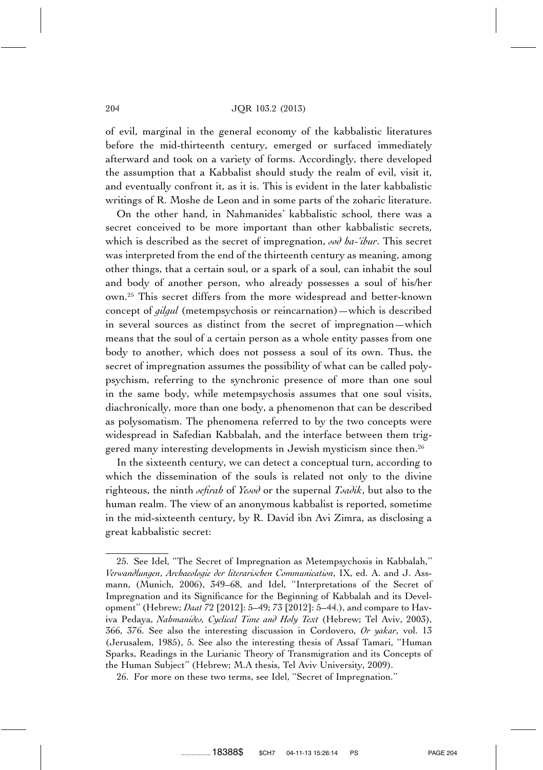204 JQR 103.2 (2013)

of evil, marginal in the general economy of the kabbalistic literatures before the mid-thirteenth century, emerged or surfaced immediately afterward and took on a variety of forms. Accordingly, there developed the assumption that a Kabbalist should study the realm of evil, visit it, and eventually confront it, as it is. This is evident in the later kabbalistic writings of R. Moshe de Leon and in some parts of the zoharic literature.

On the other hand, in Nahmanides' kabbalistic school, there was a secret conceived to be more important than other kabbalistic secrets, which is described as the secret of impregnation, *sod ha-'ibur*. This secret was interpreted from the end of the thirteenth century as meaning, among other things, that a certain soul, or a spark of a soul, can inhabit the soul and body of another person, who already possesses a soul of his/her own.25 This secret differs from the more widespread and better-known concept of *gilgul* (metempsychosis or reincarnation)—which is described in several sources as distinct from the secret of impregnation—which means that the soul of a certain person as a whole entity passes from one body to another, which does not possess a soul of its own. Thus, the secret of impregnation assumes the possibility of what can be called polypsychism, referring to the synchronic presence of more than one soul in the same body, while metempsychosis assumes that one soul visits, diachronically, more than one body, a phenomenon that can be described as polysomatism. The phenomena referred to by the two concepts were widespread in Safedian Kabbalah, and the interface between them triggered many interesting developments in Jewish mysticism since then.<sup>26</sup>

In the sixteenth century, we can detect a conceptual turn, according to which the dissemination of the souls is related not only to the divine righteous, the ninth *sefirah* of *Yesod* or the supernal *Tsadik*, but also to the human realm. The view of an anonymous kabbalist is reported, sometime in the mid-sixteenth century, by R. David ibn Avi Zimra, as disclosing a great kabbalistic secret:

<sup>25.</sup> See Idel, ''The Secret of Impregnation as Metempsychosis in Kabbalah,'' *Verwandlungen*, *Archaeologie der literarischen Communication*, IX, ed. A. and J. Assmann, (Munich, 2006), 349–68, and Idel, ''Interpretations of the Secret of Impregnation and its Significance for the Beginning of Kabbalah and its Development'' (Hebrew; *Daat* 72 [2012]: 5–49; 73 [2012]: 5–44.), and compare to Haviva Pedaya, *Nahmanides, Cyclical Time and Holy Text* (Hebrew; Tel Aviv, 2003), 366, 376. See also the interesting discussion in Cordovero, *Or yakar*, vol. 13 (Jerusalem, 1985), 5. See also the interesting thesis of Assaf Tamari, ''Human Sparks, Readings in the Lurianic Theory of Transmigration and its Concepts of the Human Subject'' (Hebrew; M.A thesis, Tel Aviv University, 2009).

<sup>26.</sup> For more on these two terms, see Idel, ''Secret of Impregnation.''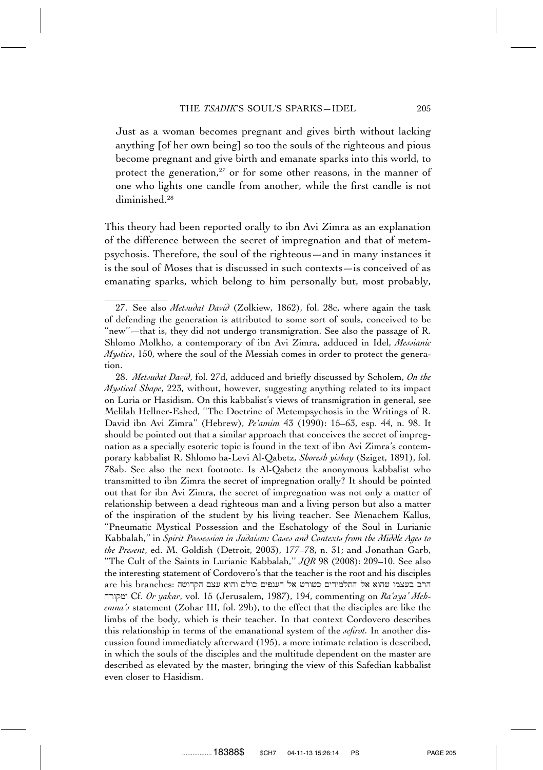Just as a woman becomes pregnant and gives birth without lacking anything [of her own being] so too the souls of the righteous and pious become pregnant and give birth and emanate sparks into this world, to protect the generation, $27$  or for some other reasons, in the manner of one who lights one candle from another, while the first candle is not diminished.28

This theory had been reported orally to ibn Avi Zimra as an explanation of the difference between the secret of impregnation and that of metempsychosis. Therefore, the soul of the righteous—and in many instances it is the soul of Moses that is discussed in such contexts—is conceived of as emanating sparks, which belong to him personally but, most probably,

28. *Metsudat David*, fol. 27d, adduced and briefly discussed by Scholem, *On the Mystical Shape*, 223, without, however, suggesting anything related to its impact on Luria or Hasidism. On this kabbalist's views of transmigration in general, see Melilah Hellner-Eshed, ''The Doctrine of Metempsychosis in the Writings of R. David ibn Avi Zimra'' (Hebrew), *Pe'amim* 43 (1990): 15–63, esp. 44, n. 98. It should be pointed out that a similar approach that conceives the secret of impregnation as a specially esoteric topic is found in the text of ibn Avi Zimra's contemporary kabbalist R. Shlomo ha-Levi Al-Qabetz, *Shoresh yishay* (Sziget, 1891), fol. 78ab. See also the next footnote. Is Al-Qabetz the anonymous kabbalist who transmitted to ibn Zimra the secret of impregnation orally? It should be pointed out that for ibn Avi Zimra, the secret of impregnation was not only a matter of relationship between a dead righteous man and a living person but also a matter of the inspiration of the student by his living teacher. See Menachem Kallus, ''Pneumatic Mystical Possession and the Eschatology of the Soul in Lurianic Kabbalah,'' in *Spirit Possession in Judaism: Cases and Contexts from the Middle Ages to the Present*, ed. M. Goldish (Detroit, 2003), 177–78, n. 31; and Jonathan Garb, ''The Cult of the Saints in Lurianic Kabbalah,'' *JQR* 98 (2008): 209–10. See also the interesting statement of Cordovero's that the teacher is the root and his disciples are his branches: הרב בעצמו שהוא אל התלמידים כשורש אל הענפים כולם והוא עצם הקדושה hrwqmw Cf. *Or yakar*, vol. 15 (Jerusalem, 1987), 194, commenting on *Ra'aya' Mehemna's* statement (Zohar III, fol. 29b), to the effect that the disciples are like the limbs of the body, which is their teacher. In that context Cordovero describes this relationship in terms of the emanational system of the *sefirot.* In another discussion found immediately afterward (195), a more intimate relation is described, in which the souls of the disciples and the multitude dependent on the master are described as elevated by the master, bringing the view of this Safedian kabbalist even closer to Hasidism.

<sup>27.</sup> See also *Metsudat David* (Zolkiew, 1862), fol. 28c, where again the task of defending the generation is attributed to some sort of souls, conceived to be "new"—that is, they did not undergo transmigration. See also the passage of R. Shlomo Molkho, a contemporary of ibn Avi Zimra, adduced in Idel, *Messianic Mystics*, 150, where the soul of the Messiah comes in order to protect the generation.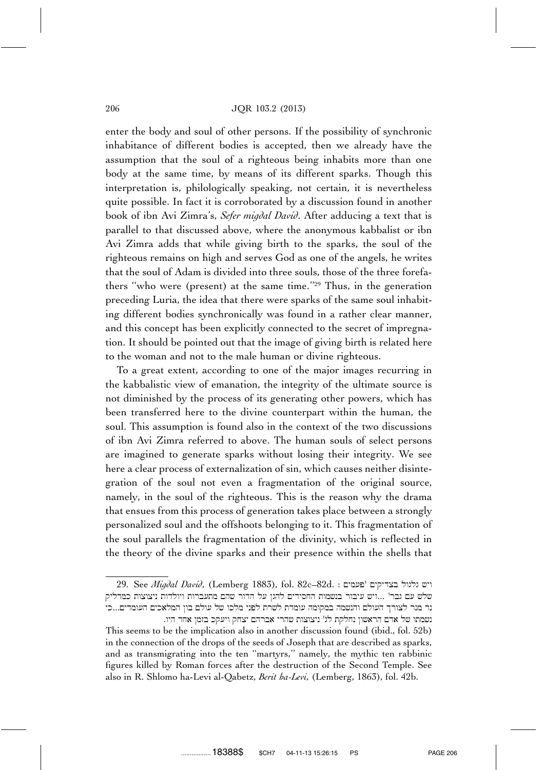## 206 JQR 103.2 (2013)

enter the body and soul of other persons. If the possibility of synchronic inhabitance of different bodies is accepted, then we already have the assumption that the soul of a righteous being inhabits more than one body at the same time, by means of its different sparks. Though this interpretation is, philologically speaking, not certain, it is nevertheless quite possible. In fact it is corroborated by a discussion found in another book of ibn Avi Zimra's, *Sefer migdal David*. After adducing a text that is parallel to that discussed above, where the anonymous kabbalist or ibn Avi Zimra adds that while giving birth to the sparks, the soul of the righteous remains on high and serves God as one of the angels, he writes that the soul of Adam is divided into three souls, those of the three forefathers ''who were (present) at the same time.''29 Thus, in the generation preceding Luria, the idea that there were sparks of the same soul inhabiting different bodies synchronically was found in a rather clear manner, and this concept has been explicitly connected to the secret of impregnation. It should be pointed out that the image of giving birth is related here to the woman and not to the male human or divine righteous.

To a great extent, according to one of the major images recurring in the kabbalistic view of emanation, the integrity of the ultimate source is not diminished by the process of its generating other powers, which has been transferred here to the divine counterpart within the human, the soul. This assumption is found also in the context of the two discussions of ibn Avi Zimra referred to above. The human souls of select persons are imagined to generate sparks without losing their integrity. We see here a clear process of externalization of sin, which causes neither disintegration of the soul not even a fragmentation of the original source, namely, in the soul of the righteous. This is the reason why the drama that ensues from this process of generation takes place between a strongly personalized soul and the offshoots belonging to it. This fragmentation of the soul parallels the fragmentation of the divinity, which is reflected in the theory of the divine sparks and their presence within the shells that

<sup>29.</sup> See *Migdal David*, (Lemberg 1883), fol. 82c–82d. : ויש גלגול בצדיקים 'פעמים שלש עם גבר' ...ויש עיבור בנשמות החסידים להגן על הדור שהם מתעברות ויולדות ניצוצות כמדליק  $\sim$ נר מנר לצורך העולם והנשמה במקומה עומדת לשרת לפני מלכו של עולם בון המלאכים העומדים...כי

<sup>.</sup>נשמתו של אדם הראשון נחלקת לג' ניצוצות שהרי אברהם יצחק ויעקכ בזמן אחד היו This seems to be the implication also in another discussion found (ibid., fol. 52b) in the connection of the drops of the seeds of Joseph that are described as sparks, and as transmigrating into the ten ''martyrs,'' namely, the mythic ten rabbinic figures killed by Roman forces after the destruction of the Second Temple. See also in R. Shlomo ha-Levi al-Qabetz, *Berit ha-Levi*, (Lemberg, 1863), fol. 42b.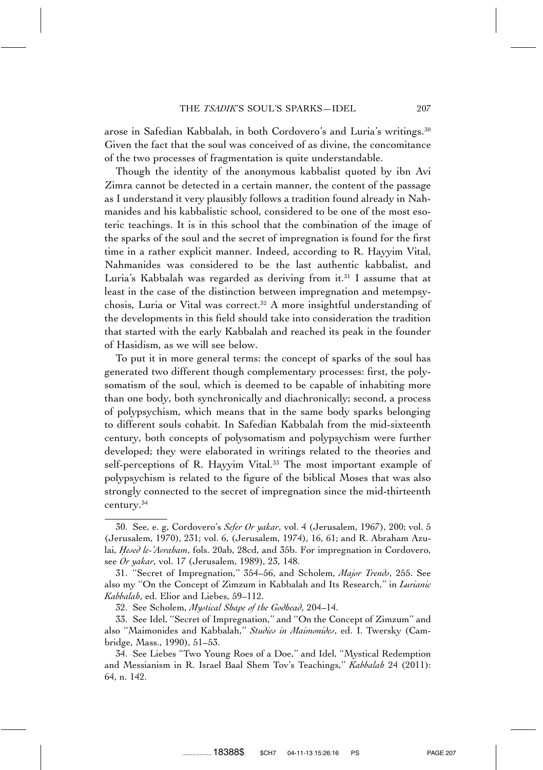arose in Safedian Kabbalah, in both Cordovero's and Luria's writings.30 Given the fact that the soul was conceived of as divine, the concomitance of the two processes of fragmentation is quite understandable.

Though the identity of the anonymous kabbalist quoted by ibn Avi Zimra cannot be detected in a certain manner, the content of the passage as I understand it very plausibly follows a tradition found already in Nahmanides and his kabbalistic school, considered to be one of the most esoteric teachings. It is in this school that the combination of the image of the sparks of the soul and the secret of impregnation is found for the first time in a rather explicit manner. Indeed, according to R. Hayyim Vital, Nahmanides was considered to be the last authentic kabbalist, and Luria's Kabbalah was regarded as deriving from it.<sup>31</sup> I assume that at least in the case of the distinction between impregnation and metempsychosis, Luria or Vital was correct.<sup>32</sup> A more insightful understanding of the developments in this field should take into consideration the tradition that started with the early Kabbalah and reached its peak in the founder of Hasidism, as we will see below.

To put it in more general terms: the concept of sparks of the soul has generated two different though complementary processes: first, the polysomatism of the soul, which is deemed to be capable of inhabiting more than one body, both synchronically and diachronically; second, a process of polypsychism, which means that in the same body sparks belonging to different souls cohabit. In Safedian Kabbalah from the mid-sixteenth century, both concepts of polysomatism and polypsychism were further developed; they were elaborated in writings related to the theories and self-perceptions of R. Hayyim Vital.<sup>33</sup> The most important example of polypsychism is related to the figure of the biblical Moses that was also strongly connected to the secret of impregnation since the mid-thirteenth century.34

<sup>30.</sup> See, e. g, Cordovero's *Sefer Or yakar*, vol. 4 (Jerusalem, 1967), 200; vol. 5 (Jerusalem, 1970), 231; vol. 6, (Jerusalem, 1974), 16, 61; and R. Abraham Azulai, *H. esed le-'Avraham*, fols. 20ab, 28cd, and 35b. For impregnation in Cordovero, see *Or yakar*, vol. 17 (Jerusalem, 1989), 23, 148.

<sup>31. &#</sup>x27;'Secret of Impregnation,'' 354–56, and Scholem, *Major Trends*, 255. See also my ''On the Concept of Zimzum in Kabbalah and Its Research,'' in *Lurianic Kabbalah*, ed. Elior and Liebes, 59–112.

<sup>32.</sup> See Scholem, *Mystical Shape of the Godhead*, 204–14.

<sup>33.</sup> See Idel, ''Secret of Impregnation,'' and ''On the Concept of Zimzum'' and also ''Maimonides and Kabbalah,'' *Studies in Maimonides*, ed. I. Twersky (Cambridge, Mass., 1990), 51–53.

<sup>34.</sup> See Liebes ''Two Young Roes of a Doe,'' and Idel, ''Mystical Redemption and Messianism in R. Israel Baal Shem Tov's Teachings,'' *Kabbalah* 24 (2011): 64, n. 142.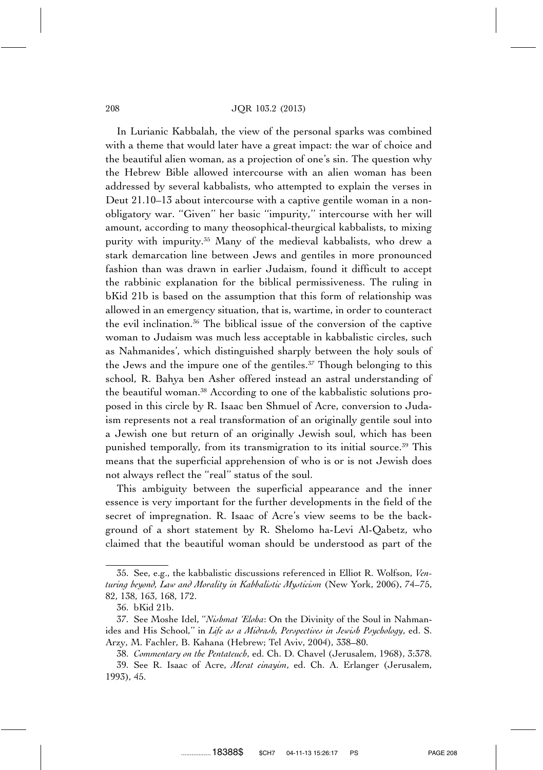In Lurianic Kabbalah, the view of the personal sparks was combined with a theme that would later have a great impact: the war of choice and the beautiful alien woman, as a projection of one's sin. The question why the Hebrew Bible allowed intercourse with an alien woman has been addressed by several kabbalists, who attempted to explain the verses in Deut 21.10–13 about intercourse with a captive gentile woman in a nonobligatory war. ''Given'' her basic ''impurity,'' intercourse with her will amount, according to many theosophical-theurgical kabbalists, to mixing purity with impurity.35 Many of the medieval kabbalists, who drew a stark demarcation line between Jews and gentiles in more pronounced fashion than was drawn in earlier Judaism, found it difficult to accept the rabbinic explanation for the biblical permissiveness. The ruling in bKid 21b is based on the assumption that this form of relationship was allowed in an emergency situation, that is, wartime, in order to counteract the evil inclination.36 The biblical issue of the conversion of the captive woman to Judaism was much less acceptable in kabbalistic circles, such as Nahmanides', which distinguished sharply between the holy souls of the Jews and the impure one of the gentiles.<sup>37</sup> Though belonging to this school, R. Bahya ben Asher offered instead an astral understanding of the beautiful woman.<sup>38</sup> According to one of the kabbalistic solutions proposed in this circle by R. Isaac ben Shmuel of Acre, conversion to Judaism represents not a real transformation of an originally gentile soul into a Jewish one but return of an originally Jewish soul, which has been punished temporally, from its transmigration to its initial source.<sup>39</sup> This means that the superficial apprehension of who is or is not Jewish does not always reflect the ''real'' status of the soul.

This ambiguity between the superficial appearance and the inner essence is very important for the further developments in the field of the secret of impregnation. R. Isaac of Acre's view seems to be the background of a short statement by R. Shelomo ha-Levi Al-Qabetz, who claimed that the beautiful woman should be understood as part of the

<sup>35.</sup> See, e.g., the kabbalistic discussions referenced in Elliot R. Wolfson, *Venturing beyond, Law and Morality in Kabbalistic Mysticism* (New York, 2006), 74–75, 82, 138, 163, 168, 172.

<sup>36.</sup> bKid 21b.

<sup>37.</sup> See Moshe Idel, ''*Nishmat 'Eloha*: On the Divinity of the Soul in Nahmanides and His School,'' in *Life as a Midrash, Perspectives in Jewish Psychology*, ed. S. Arzy, M. Fachler, B. Kahana (Hebrew; Tel Aviv, 2004), 338–80.

<sup>38.</sup> *Commentary on the Pentateuch*, ed. Ch. D. Chavel (Jerusalem, 1968), 3:378. 39. See R. Isaac of Acre, *Merat einayim*, ed. Ch. A. Erlanger (Jerusalem, 1993), 45.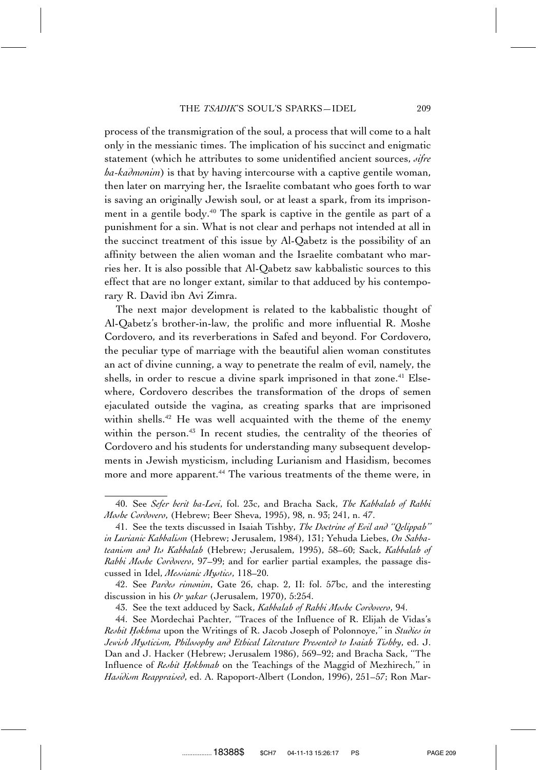process of the transmigration of the soul, a process that will come to a halt only in the messianic times. The implication of his succinct and enigmatic statement (which he attributes to some unidentified ancient sources, *sifre ha-kadmonim*) is that by having intercourse with a captive gentile woman, then later on marrying her, the Israelite combatant who goes forth to war is saving an originally Jewish soul, or at least a spark, from its imprisonment in a gentile body.40 The spark is captive in the gentile as part of a punishment for a sin. What is not clear and perhaps not intended at all in the succinct treatment of this issue by Al-Qabetz is the possibility of an affinity between the alien woman and the Israelite combatant who marries her. It is also possible that Al-Qabetz saw kabbalistic sources to this effect that are no longer extant, similar to that adduced by his contemporary R. David ibn Avi Zimra.

The next major development is related to the kabbalistic thought of Al-Qabetz's brother-in-law, the prolific and more influential R. Moshe Cordovero, and its reverberations in Safed and beyond. For Cordovero, the peculiar type of marriage with the beautiful alien woman constitutes an act of divine cunning, a way to penetrate the realm of evil, namely, the shells, in order to rescue a divine spark imprisoned in that zone.<sup>41</sup> Elsewhere, Cordovero describes the transformation of the drops of semen ejaculated outside the vagina, as creating sparks that are imprisoned within shells.<sup>42</sup> He was well acquainted with the theme of the enemy within the person.<sup>43</sup> In recent studies, the centrality of the theories of Cordovero and his students for understanding many subsequent developments in Jewish mysticism, including Lurianism and Hasidism, becomes more and more apparent.<sup>44</sup> The various treatments of the theme were, in

<sup>40.</sup> See *Sefer berit ha-Levi*, fol. 23c, and Bracha Sack, *The Kabbalah of Rabbi Moshe Cordovero*, (Hebrew; Beer Sheva, 1995), 98, n. 93; 241, n. 47.

<sup>41.</sup> See the texts discussed in Isaiah Tishby, *The Doctrine of Evil and ''Qelippah'' in Lurianic Kabbalism* (Hebrew; Jerusalem, 1984), 131; Yehuda Liebes, *On Sabbateanism and Its Kabbalah* (Hebrew; Jerusalem, 1995), 58–60; Sack, *Kabbalah of Rabbi Moshe Cordovero*, 97–99; and for earlier partial examples, the passage discussed in Idel, *Messianic Mystics*, 118–20.

<sup>42.</sup> See *Pardes rimonim*, Gate 26, chap. 2, II: fol. 57bc, and the interesting discussion in his *Or yakar* (Jerusalem, 1970), 5:254.

<sup>43.</sup> See the text adduced by Sack, *Kabbalah of Rabbi Moshe Cordovero*, 94.

<sup>44.</sup> See Mordechai Pachter, ''Traces of the Influence of R. Elijah de Vidas's *Reshit Hokhma* upon the Writings of R. Jacob Joseph of Polonnoye," in *Studies in Jewish Mysticism, Philosophy and Ethical Literature Presented to Isaiah Tishby*, ed. J. Dan and J. Hacker (Hebrew; Jerusalem 1986), 569–92; and Bracha Sack, ''The Influence of *Reshit Hokhmah* on the Teachings of the Maggid of Mezhirech," in *Hasidism Reappraised*, ed. A. Rapoport-Albert (London, 1996), 251–57; Ron Mar-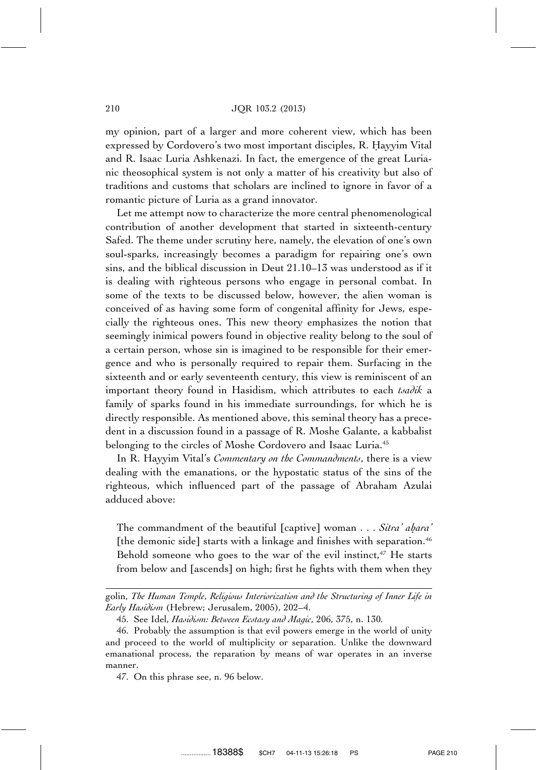my opinion, part of a larger and more coherent view, which has been expressed by Cordovero's two most important disciples, R. Hayyim Vital and R. Isaac Luria Ashkenazi. In fact, the emergence of the great Lurianic theosophical system is not only a matter of his creativity but also of traditions and customs that scholars are inclined to ignore in favor of a romantic picture of Luria as a grand innovator.

Let me attempt now to characterize the more central phenomenological contribution of another development that started in sixteenth-century Safed. The theme under scrutiny here, namely, the elevation of one's own soul-sparks, increasingly becomes a paradigm for repairing one's own sins, and the biblical discussion in Deut 21.10–13 was understood as if it is dealing with righteous persons who engage in personal combat. In some of the texts to be discussed below, however, the alien woman is conceived of as having some form of congenital affinity for Jews, especially the righteous ones. This new theory emphasizes the notion that seemingly inimical powers found in objective reality belong to the soul of a certain person, whose sin is imagined to be responsible for their emergence and who is personally required to repair them. Surfacing in the sixteenth and or early seventeenth century, this view is reminiscent of an important theory found in Hasidism, which attributes to each *tsadik* a family of sparks found in his immediate surroundings, for which he is directly responsible. As mentioned above, this seminal theory has a precedent in a discussion found in a passage of R. Moshe Galante, a kabbalist belonging to the circles of Moshe Cordovero and Isaac Luria.<sup>45</sup>

In R. Hayyim Vital's *Commentary on the Commandments*, there is a view dealing with the emanations, or the hypostatic status of the sins of the righteous, which influenced part of the passage of Abraham Azulai adduced above:

The commandment of the beautiful [captive] woman . . . *Sitra' ahara'* [the demonic side] starts with a linkage and finishes with separation.<sup>46</sup> Behold someone who goes to the war of the evil instinct, $47$  He starts from below and [ascends] on high; first he fights with them when they

47. On this phrase see, n. 96 below.

golin, *The Human Temple*, *Religious Interiorization and the Structuring of Inner Life in Early Hasidism* (Hebrew; Jerusalem, 2005), 202–4.

<sup>45.</sup> See Idel, *Hasidism: Between Ecstasy and Magic*, 206, 375, n. 130.

<sup>46.</sup> Probably the assumption is that evil powers emerge in the world of unity and proceed to the world of multiplicity or separation. Unlike the downward emanational process, the reparation by means of war operates in an inverse manner.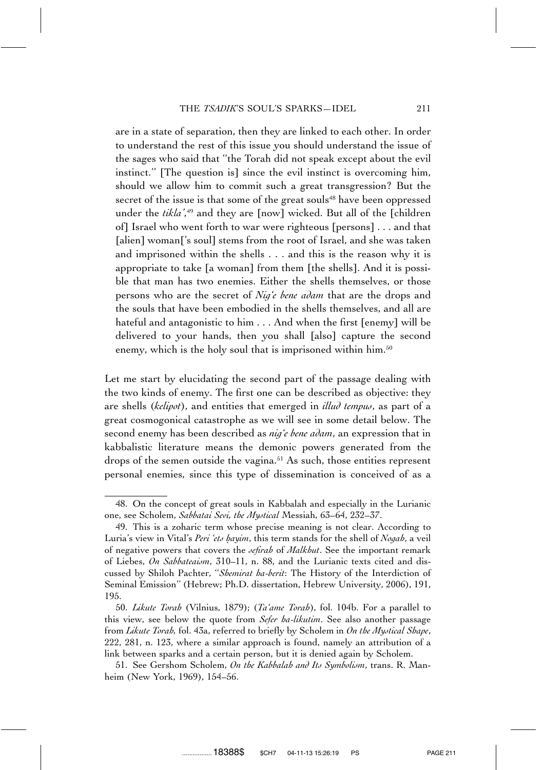are in a state of separation, then they are linked to each other. In order to understand the rest of this issue you should understand the issue of the sages who said that ''the Torah did not speak except about the evil instinct.'' [The question is] since the evil instinct is overcoming him, should we allow him to commit such a great transgression? But the secret of the issue is that some of the great souls<sup>48</sup> have been oppressed under the *tikla'*, <sup>49</sup> and they are [now] wicked. But all of the [children of] Israel who went forth to war were righteous [persons] . . . and that [alien] woman['s soul] stems from the root of Israel, and she was taken and imprisoned within the shells . . . and this is the reason why it is appropriate to take [a woman] from them [the shells]. And it is possible that man has two enemies. Either the shells themselves, or those persons who are the secret of *Nig'e bene adam* that are the drops and the souls that have been embodied in the shells themselves, and all are hateful and antagonistic to him . . . And when the first [enemy] will be delivered to your hands, then you shall [also] capture the second enemy, which is the holy soul that is imprisoned within him.<sup>50</sup>

Let me start by elucidating the second part of the passage dealing with the two kinds of enemy. The first one can be described as objective: they are shells (*kelipot*), and entities that emerged in *illud tempus*, as part of a great cosmogonical catastrophe as we will see in some detail below. The second enemy has been described as *nig'e bene adam*, an expression that in kabbalistic literature means the demonic powers generated from the drops of the semen outside the vagina.<sup>51</sup> As such, those entities represent personal enemies, since this type of dissemination is conceived of as a

<sup>48.</sup> On the concept of great souls in Kabbalah and especially in the Lurianic one, see Scholem, *Sabbatai Sevi, the Mystical* Messiah, 63–64, 232–37.

<sup>49.</sup> This is a zoharic term whose precise meaning is not clear. According to Luria's view in Vital's *Peri 'ets hayim*, this term stands for the shell of *Nogah*, a veil of negative powers that covers the *sefirah* of *Malkhut*. See the important remark of Liebes, *On Sabbateaism*, 310–11, n. 88, and the Lurianic texts cited and discussed by Shiloh Pachter, ''*Shemirat ha-berit*: The History of the Interdiction of Seminal Emission'' (Hebrew; Ph.D. dissertation, Hebrew University, 2006), 191, 195.

<sup>50.</sup> *Likute Torah* (Vilnius, 1879); (*Ta'ame Torah*), fol. 104b. For a parallel to this view, see below the quote from *Sefer ha-likutim*. See also another passage from *Likute Torah,* fol. 43a, referred to briefly by Scholem in *On the Mystical Shape*, 222, 281, n. 123, where a similar approach is found, namely an attribution of a link between sparks and a certain person, but it is denied again by Scholem.

<sup>51.</sup> See Gershom Scholem, *On the Kabbalah and Its Symbolism*, trans. R. Manheim (New York, 1969), 154–56.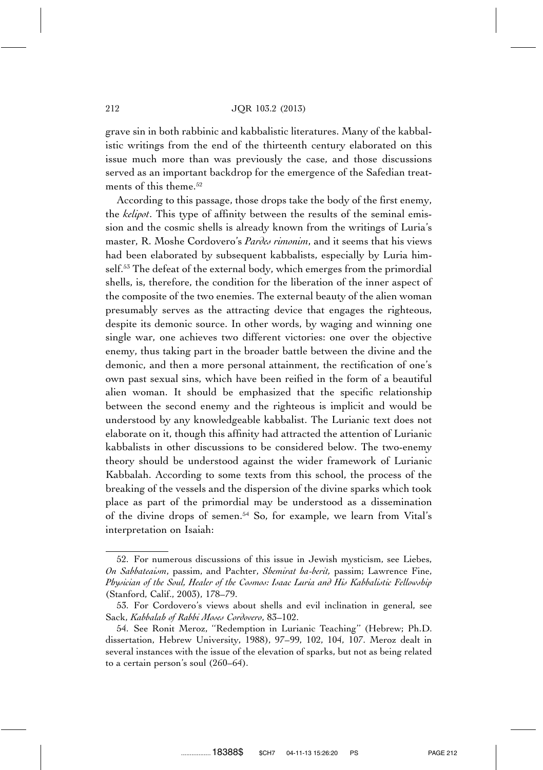grave sin in both rabbinic and kabbalistic literatures. Many of the kabbalistic writings from the end of the thirteenth century elaborated on this issue much more than was previously the case, and those discussions served as an important backdrop for the emergence of the Safedian treatments of this theme.<sup>52</sup>

According to this passage, those drops take the body of the first enemy, the *kelipot*. This type of affinity between the results of the seminal emission and the cosmic shells is already known from the writings of Luria's master, R. Moshe Cordovero's *Pardes rimonim*, and it seems that his views had been elaborated by subsequent kabbalists, especially by Luria himself.53 The defeat of the external body, which emerges from the primordial shells, is, therefore, the condition for the liberation of the inner aspect of the composite of the two enemies. The external beauty of the alien woman presumably serves as the attracting device that engages the righteous, despite its demonic source. In other words, by waging and winning one single war, one achieves two different victories: one over the objective enemy, thus taking part in the broader battle between the divine and the demonic, and then a more personal attainment, the rectification of one's own past sexual sins, which have been reified in the form of a beautiful alien woman. It should be emphasized that the specific relationship between the second enemy and the righteous is implicit and would be understood by any knowledgeable kabbalist. The Lurianic text does not elaborate on it, though this affinity had attracted the attention of Lurianic kabbalists in other discussions to be considered below. The two-enemy theory should be understood against the wider framework of Lurianic Kabbalah. According to some texts from this school, the process of the breaking of the vessels and the dispersion of the divine sparks which took place as part of the primordial may be understood as a dissemination of the divine drops of semen.<sup>54</sup> So, for example, we learn from Vital's interpretation on Isaiah:

<sup>52.</sup> For numerous discussions of this issue in Jewish mysticism, see Liebes, *On Sabbateaism*, passim, and Pachter, *Shemirat ha-berit,* passim; Lawrence Fine, *Physician of the Soul, Healer of the Cosmos: Isaac Luria and His Kabbalistic Fellowship* (Stanford, Calif., 2003), 178–79.

<sup>53.</sup> For Cordovero's views about shells and evil inclination in general, see Sack, *Kabbalah of Rabbi Moses Cordovero*, 83–102.

<sup>54.</sup> See Ronit Meroz, ''Redemption in Lurianic Teaching'' (Hebrew; Ph.D. dissertation, Hebrew University, 1988), 97–99, 102, 104, 107. Meroz dealt in several instances with the issue of the elevation of sparks, but not as being related to a certain person's soul (260–64).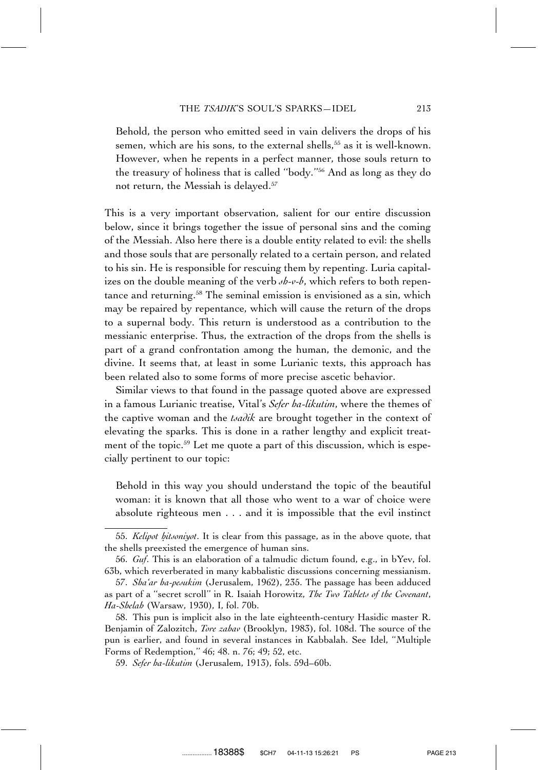Behold, the person who emitted seed in vain delivers the drops of his semen, which are his sons, to the external shells,<sup>55</sup> as it is well-known. However, when he repents in a perfect manner, those souls return to the treasury of holiness that is called ''body.''56 And as long as they do not return, the Messiah is delayed.<sup>57</sup>

This is a very important observation, salient for our entire discussion below, since it brings together the issue of personal sins and the coming of the Messiah. Also here there is a double entity related to evil: the shells and those souls that are personally related to a certain person, and related to his sin. He is responsible for rescuing them by repenting. Luria capitalizes on the double meaning of the verb *sh-v-b*, which refers to both repentance and returning.<sup>58</sup> The seminal emission is envisioned as a sin, which may be repaired by repentance, which will cause the return of the drops to a supernal body. This return is understood as a contribution to the messianic enterprise. Thus, the extraction of the drops from the shells is part of a grand confrontation among the human, the demonic, and the divine. It seems that, at least in some Lurianic texts, this approach has been related also to some forms of more precise ascetic behavior.

Similar views to that found in the passage quoted above are expressed in a famous Lurianic treatise, Vital's *Sefer ha-likutim*, where the themes of the captive woman and the *tsadik* are brought together in the context of elevating the sparks. This is done in a rather lengthy and explicit treatment of the topic.<sup>59</sup> Let me quote a part of this discussion, which is especially pertinent to our topic:

Behold in this way you should understand the topic of the beautiful woman: it is known that all those who went to a war of choice were absolute righteous men . . . and it is impossible that the evil instinct

<sup>55.</sup> *Kelipot hitsoniyot*. It is clear from this passage, as in the above quote, that the shells preexisted the emergence of human sins.

<sup>56.</sup> *Guf*. This is an elaboration of a talmudic dictum found, e.g., in bYev, fol. 63b, which reverberated in many kabbalistic discussions concerning messianism.

<sup>57.</sup> *Sha'ar ha-pesukim* (Jerusalem, 1962), 235. The passage has been adduced as part of a ''secret scroll'' in R. Isaiah Horowitz, *The Two Tablets of the Covenant*, *Ha-Shelah* (Warsaw, 1930), I, fol. 70b.

<sup>58.</sup> This pun is implicit also in the late eighteenth-century Hasidic master R. Benjamin of Zalozitch, *Tore zahav* (Brooklyn, 1983), fol. 108d. The source of the pun is earlier, and found in several instances in Kabbalah. See Idel, ''Multiple Forms of Redemption,'' 46; 48. n. 76; 49; 52, etc.

<sup>59.</sup> *Sefer ha-likutim* (Jerusalem, 1913), fols. 59d–60b.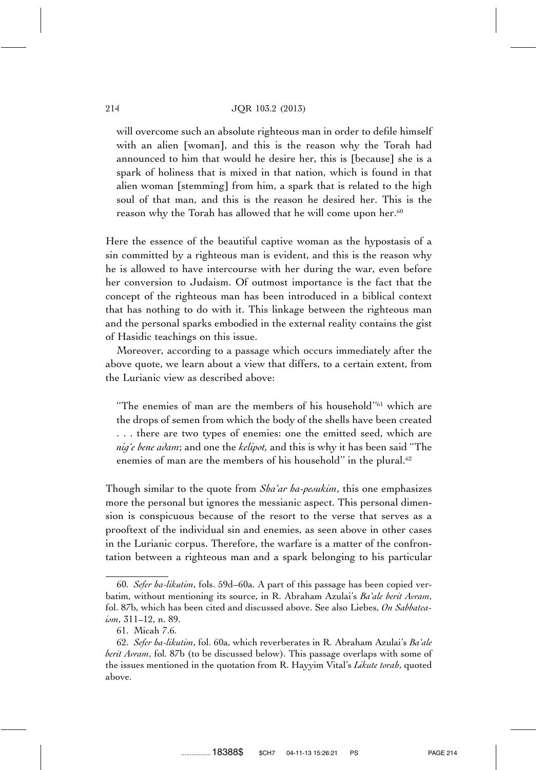will overcome such an absolute righteous man in order to defile himself with an alien [woman], and this is the reason why the Torah had announced to him that would he desire her, this is [because] she is a spark of holiness that is mixed in that nation, which is found in that alien woman [stemming] from him, a spark that is related to the high soul of that man, and this is the reason he desired her. This is the reason why the Torah has allowed that he will come upon her.<sup>60</sup>

Here the essence of the beautiful captive woman as the hypostasis of a sin committed by a righteous man is evident, and this is the reason why he is allowed to have intercourse with her during the war, even before her conversion to Judaism. Of outmost importance is the fact that the concept of the righteous man has been introduced in a biblical context that has nothing to do with it. This linkage between the righteous man and the personal sparks embodied in the external reality contains the gist of Hasidic teachings on this issue.

Moreover, according to a passage which occurs immediately after the above quote, we learn about a view that differs, to a certain extent, from the Lurianic view as described above:

''The enemies of man are the members of his household''61 which are the drops of semen from which the body of the shells have been created . . . there are two types of enemies: one the emitted seed, which are *nig'e bene adam*; and one the *kelipot,* and this is why it has been said ''The enemies of man are the members of his household" in the plural.<sup>62</sup>

Though similar to the quote from *Sha'ar ha-pesukim*, this one emphasizes more the personal but ignores the messianic aspect. This personal dimension is conspicuous because of the resort to the verse that serves as a prooftext of the individual sin and enemies, as seen above in other cases in the Lurianic corpus. Therefore, the warfare is a matter of the confrontation between a righteous man and a spark belonging to his particular

<sup>60.</sup> *Sefer ha-likutim*, fols. 59d–60a. A part of this passage has been copied verbatim, without mentioning its source, in R. Abraham Azulai's *Ba'ale berit Avram*, fol. 87b, which has been cited and discussed above. See also Liebes, *On Sabbateaism*, 311–12, n. 89.

<sup>61.</sup> Micah 7.6.

<sup>62.</sup> *Sefer ha-likutim*, fol. 60a, which reverberates in R. Abraham Azulai's *Ba'ale berit Avram*, fol. 87b (to be discussed below). This passage overlaps with some of the issues mentioned in the quotation from R. Hayyim Vital's *Likute torah*, quoted above.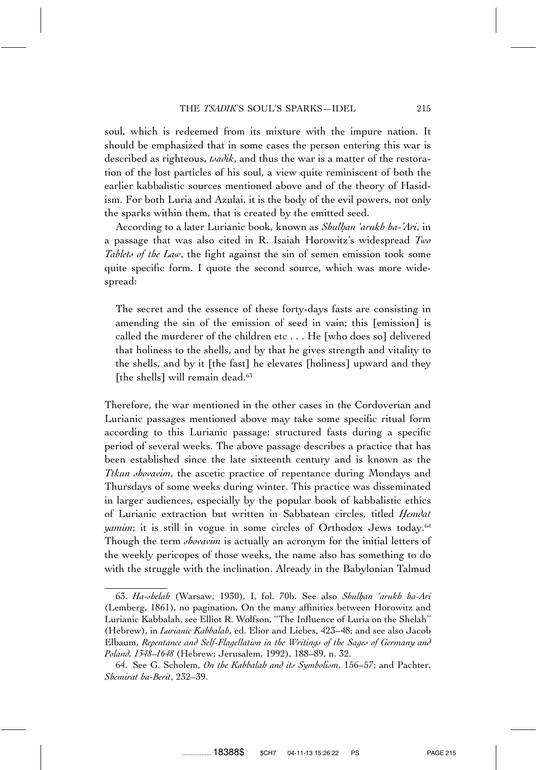soul, which is redeemed from its mixture with the impure nation. It should be emphasized that in some cases the person entering this war is described as righteous, *tsadik*, and thus the war is a matter of the restoration of the lost particles of his soul, a view quite reminiscent of both the earlier kabbalistic sources mentioned above and of the theory of Hasidism. For both Luria and Azulai, it is the body of the evil powers, not only the sparks within them, that is created by the emitted seed.

According to a later Lurianic book, known as *Shulhan 'arukh ha-'Ari*, in a passage that was also cited in R. Isaiah Horowitz's widespread *Two Tablets of the Law*, the fight against the sin of semen emission took some quite specific form. I quote the second source, which was more widespread:

The secret and the essence of these forty-days fasts are consisting in amending the sin of the emission of seed in vain; this [emission] is called the murderer of the children etc . . . He [who does so] delivered that holiness to the shells, and by that he gives strength and vitality to the shells, and by it [the fast] he elevates [holiness] upward and they [the shells] will remain dead.<sup>63</sup>

Therefore, the war mentioned in the other cases in the Cordoverian and Lurianic passages mentioned above may take some specific ritual form according to this Lurianic passage: structured fasts during a specific period of several weeks. The above passage describes a practice that has been established since the late sixteenth century and is known as the *Ttkun shovavim*, the ascetic practice of repentance during Mondays and Thursdays of some weeks during winter. This practice was disseminated in larger audiences, especially by the popular book of kabbalistic ethics of Lurianic extraction but written in Sabbatean circles, titled *Hemdat yamim*; it is still in vogue in some circles of Orthodox Jews today.<sup>64</sup> Though the term *shovavim* is actually an acronym for the initial letters of the weekly pericopes of those weeks, the name also has something to do with the struggle with the inclination. Already in the Babylonian Talmud

<sup>63.</sup> *Ha-shelah* (Warsaw, 1930), I, fol. 70b. See also *Shulhan 'arukh ha-Ari* (Lemberg, 1861), no pagination. On the many affinities between Horowitz and Lurianic Kabbalah, see Elliot R. Wolfson, ''The Influence of Luria on the Shelah'' (Hebrew), in *Lurianic Kabbalah*, ed. Elior and Liebes, 423–48; and see also Jacob Elbaum, *Repentance and Self-Flagellation in the Writings of the Sages of Germany and Poland, 1348–1648* (Hebrew; Jerusalem, 1992), 188–89, n. 32.

<sup>64.</sup> See G. Scholem, *On the Kabbalah and its Symbolism*, 156–57; and Pachter, *Shemirat ha-Berit*, 232–39.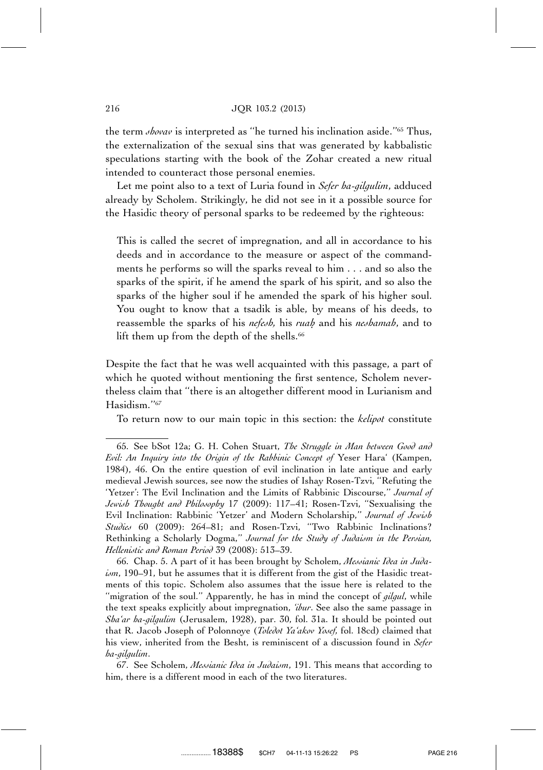the term *shovav* is interpreted as ''he turned his inclination aside.''65 Thus, the externalization of the sexual sins that was generated by kabbalistic speculations starting with the book of the Zohar created a new ritual intended to counteract those personal enemies.

Let me point also to a text of Luria found in *Sefer ha-gilgulim*, adduced already by Scholem. Strikingly, he did not see in it a possible source for the Hasidic theory of personal sparks to be redeemed by the righteous:

This is called the secret of impregnation, and all in accordance to his deeds and in accordance to the measure or aspect of the commandments he performs so will the sparks reveal to him . . . and so also the sparks of the spirit, if he amend the spark of his spirit, and so also the sparks of the higher soul if he amended the spark of his higher soul. You ought to know that a tsadik is able, by means of his deeds, to reassemble the sparks of his *nefesh,* his *ruah.* and his *neshamah*, and to lift them up from the depth of the shells.<sup>66</sup>

Despite the fact that he was well acquainted with this passage, a part of which he quoted without mentioning the first sentence, Scholem nevertheless claim that ''there is an altogether different mood in Lurianism and Hasidism.''67

To return now to our main topic in this section: the *kelipot* constitute

<sup>65.</sup> See bSot 12a; G. H. Cohen Stuart, *The Struggle in Man between Good and Evil: An Inquiry into the Origin of the Rabbinic Concept of* Yeser Hara' (Kampen, 1984), 46. On the entire question of evil inclination in late antique and early medieval Jewish sources, see now the studies of Ishay Rosen-Tzvi, ''Refuting the 'Yetzer': The Evil Inclination and the Limits of Rabbinic Discourse,'' *Journal of Jewish Thought and Philosophy* 17 (2009): 117–41; Rosen-Tzvi, ''Sexualising the Evil Inclination: Rabbinic 'Yetzer' and Modern Scholarship,'' *Journal of Jewish Studies* 60 (2009): 264–81; and Rosen-Tzvi, ''Two Rabbinic Inclinations? Rethinking a Scholarly Dogma,'' *Journal for the Study of Judaism in the Persian, Hellenistic and Roman Period* 39 (2008): 513–39.

<sup>66.</sup> Chap. 5. A part of it has been brought by Scholem, *Messianic Idea in Judaism*, 190–91, but he assumes that it is different from the gist of the Hasidic treatments of this topic. Scholem also assumes that the issue here is related to the ''migration of the soul.'' Apparently, he has in mind the concept of *gilgul*, while the text speaks explicitly about impregnation, *'ibur*. See also the same passage in *Sha'ar ha-gilgulim* (Jerusalem, 1928), par. 30, fol. 31a. It should be pointed out that R. Jacob Joseph of Polonnoye (*Toledot Ya'akov Yosef,* fol. 18cd) claimed that his view, inherited from the Besht, is reminiscent of a discussion found in *Sefer ha-gilgulim*.

<sup>67.</sup> See Scholem, *Messianic Idea in Judaism*, 191. This means that according to him, there is a different mood in each of the two literatures.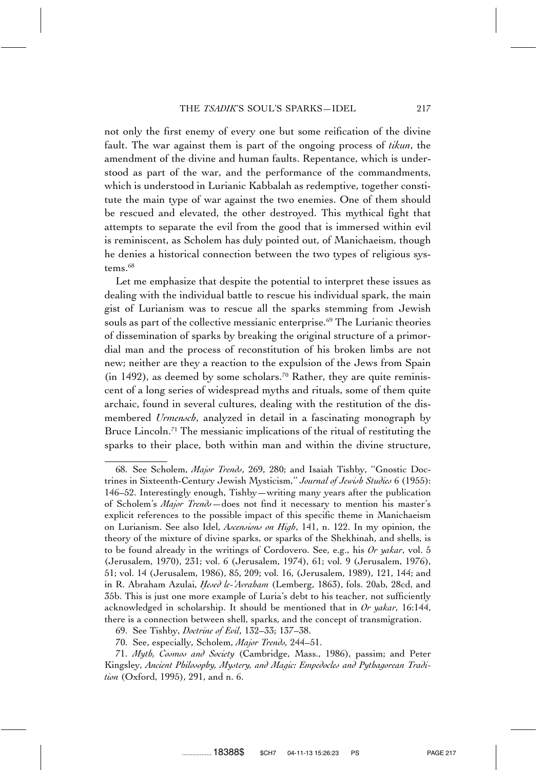not only the first enemy of every one but some reification of the divine fault. The war against them is part of the ongoing process of *tikun*, the amendment of the divine and human faults. Repentance, which is understood as part of the war, and the performance of the commandments, which is understood in Lurianic Kabbalah as redemptive, together constitute the main type of war against the two enemies. One of them should be rescued and elevated, the other destroyed. This mythical fight that attempts to separate the evil from the good that is immersed within evil is reminiscent, as Scholem has duly pointed out, of Manichaeism, though he denies a historical connection between the two types of religious systems. $68$ 

Let me emphasize that despite the potential to interpret these issues as dealing with the individual battle to rescue his individual spark, the main gist of Lurianism was to rescue all the sparks stemming from Jewish souls as part of the collective messianic enterprise.<sup>69</sup> The Lurianic theories of dissemination of sparks by breaking the original structure of a primordial man and the process of reconstitution of his broken limbs are not new; neither are they a reaction to the expulsion of the Jews from Spain (in 1492), as deemed by some scholars.<sup>70</sup> Rather, they are quite reminiscent of a long series of widespread myths and rituals, some of them quite archaic, found in several cultures, dealing with the restitution of the dismembered *Urmensch*, analyzed in detail in a fascinating monograph by Bruce Lincoln.<sup>71</sup> The messianic implications of the ritual of restituting the sparks to their place, both within man and within the divine structure,

<sup>68.</sup> See Scholem, *Major Trends*, 269, 280; and Isaiah Tishby, ''Gnostic Doctrines in Sixteenth-Century Jewish Mysticism,'' *Journal of Jewish Studies* 6 (1955): 146–52. Interestingly enough, Tishby—writing many years after the publication of Scholem's *Major Trends*—does not find it necessary to mention his master's explicit references to the possible impact of this specific theme in Manichaeism on Lurianism. See also Idel, *Ascensions on High*, 141, n. 122. In my opinion, the theory of the mixture of divine sparks, or sparks of the Shekhinah, and shells, is to be found already in the writings of Cordovero. See, e.g., his *Or yakar*, vol. 5 (Jerusalem, 1970), 231; vol. 6 (Jerusalem, 1974), 61; vol. 9 (Jerusalem, 1976), 51; vol. 14 (Jerusalem, 1986), 85, 209; vol. 16, (Jerusalem, 1989), 121, 144; and in R. Abraham Azulai, *H. esed le-'Avraham* (Lemberg, 1863), fols. 20ab, 28cd, and 35b. This is just one more example of Luria's debt to his teacher, not sufficiently acknowledged in scholarship. It should be mentioned that in *Or yakar*, 16:144, there is a connection between shell, sparks, and the concept of transmigration.

<sup>69.</sup> See Tishby, *Doctrine of Evil*, 132–33; 137–38.

<sup>70.</sup> See, especially, Scholem, *Major Trends,* 244–51.

<sup>71.</sup> *Myth, Cosmos and Society* (Cambridge, Mass., 1986), passim; and Peter Kingsley, *Ancient Philosophy, Mystery, and Magic: Empedocles and Pythagorean Tradition* (Oxford, 1995), 291, and n. 6.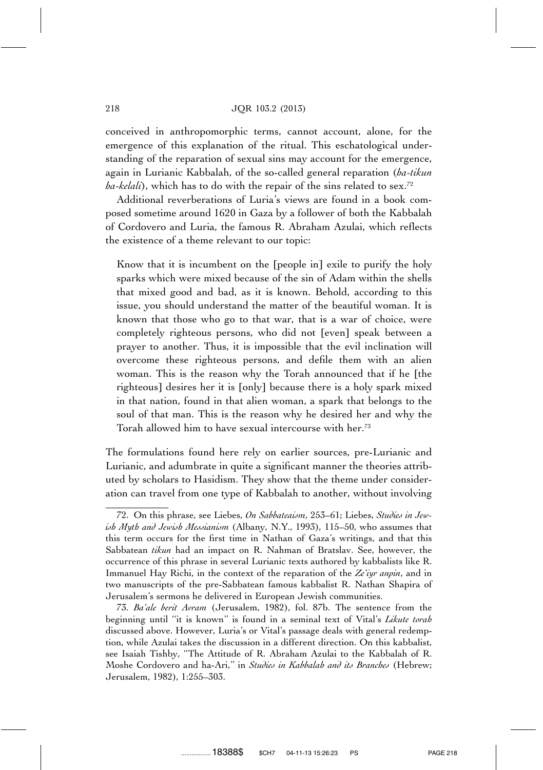conceived in anthropomorphic terms, cannot account, alone, for the emergence of this explanation of the ritual. This eschatological understanding of the reparation of sexual sins may account for the emergence, again in Lurianic Kabbalah, of the so-called general reparation (*ha-tikun ha-kelali*), which has to do with the repair of the sins related to sex.<sup>72</sup>

Additional reverberations of Luria's views are found in a book composed sometime around 1620 in Gaza by a follower of both the Kabbalah of Cordovero and Luria, the famous R. Abraham Azulai, which reflects the existence of a theme relevant to our topic:

Know that it is incumbent on the [people in] exile to purify the holy sparks which were mixed because of the sin of Adam within the shells that mixed good and bad, as it is known. Behold, according to this issue, you should understand the matter of the beautiful woman. It is known that those who go to that war, that is a war of choice, were completely righteous persons, who did not [even] speak between a prayer to another. Thus, it is impossible that the evil inclination will overcome these righteous persons, and defile them with an alien woman. This is the reason why the Torah announced that if he [the righteous] desires her it is [only] because there is a holy spark mixed in that nation, found in that alien woman, a spark that belongs to the soul of that man. This is the reason why he desired her and why the Torah allowed him to have sexual intercourse with her.73

The formulations found here rely on earlier sources, pre-Lurianic and Lurianic, and adumbrate in quite a significant manner the theories attributed by scholars to Hasidism. They show that the theme under consideration can travel from one type of Kabbalah to another, without involving

<sup>72.</sup> On this phrase, see Liebes, *On Sabbateaism*, 253–61; Liebes, *Studies in Jewish Myth and Jewish Messianism* (Albany, N.Y., 1993), 115–50, who assumes that this term occurs for the first time in Nathan of Gaza's writings, and that this Sabbatean *tikun* had an impact on R. Nahman of Bratslav. See, however, the occurrence of this phrase in several Lurianic texts authored by kabbalists like R. Immanuel Hay Richi, in the context of the reparation of the *Ze'iyr anpin*, and in two manuscripts of the pre-Sabbatean famous kabbalist R. Nathan Shapira of Jerusalem's sermons he delivered in European Jewish communities.

<sup>73.</sup> *Ba'ale berit Avram* (Jerusalem, 1982), fol. 87b. The sentence from the beginning until ''it is known'' is found in a seminal text of Vital's *Likute torah* discussed above. However, Luria's or Vital's passage deals with general redemption, while Azulai takes the discussion in a different direction. On this kabbalist, see Isaiah Tishby, ''The Attitude of R. Abraham Azulai to the Kabbalah of R. Moshe Cordovero and ha-Ari,'' in *Studies in Kabbalah and its Branches* (Hebrew; Jerusalem, 1982), 1:255–303.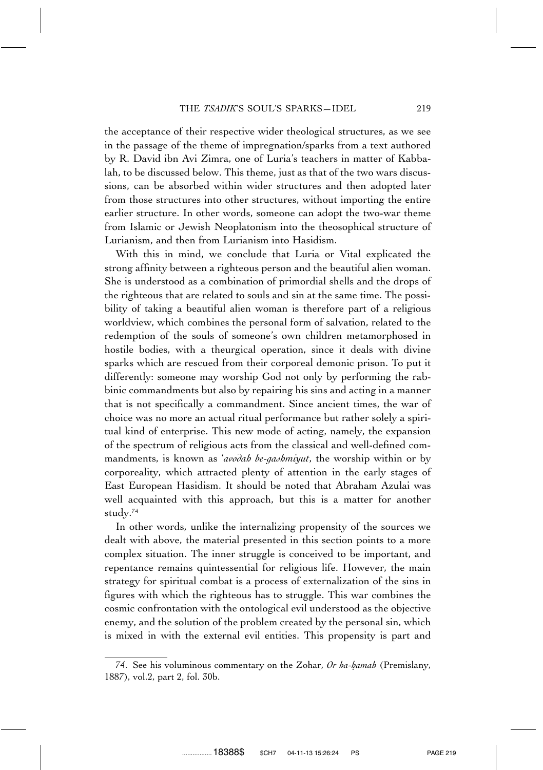the acceptance of their respective wider theological structures, as we see in the passage of the theme of impregnation/sparks from a text authored by R. David ibn Avi Zimra, one of Luria's teachers in matter of Kabbalah, to be discussed below. This theme, just as that of the two wars discussions, can be absorbed within wider structures and then adopted later from those structures into other structures, without importing the entire earlier structure. In other words, someone can adopt the two-war theme from Islamic or Jewish Neoplatonism into the theosophical structure of Lurianism, and then from Lurianism into Hasidism.

With this in mind, we conclude that Luria or Vital explicated the strong affinity between a righteous person and the beautiful alien woman. She is understood as a combination of primordial shells and the drops of the righteous that are related to souls and sin at the same time. The possibility of taking a beautiful alien woman is therefore part of a religious worldview, which combines the personal form of salvation, related to the redemption of the souls of someone's own children metamorphosed in hostile bodies, with a theurgical operation, since it deals with divine sparks which are rescued from their corporeal demonic prison. To put it differently: someone may worship God not only by performing the rabbinic commandments but also by repairing his sins and acting in a manner that is not specifically a commandment. Since ancient times, the war of choice was no more an actual ritual performance but rather solely a spiritual kind of enterprise. This new mode of acting, namely, the expansion of the spectrum of religious acts from the classical and well-defined commandments, is known as '*avodah be-gashmiyut*, the worship within or by corporeality, which attracted plenty of attention in the early stages of East European Hasidism. It should be noted that Abraham Azulai was well acquainted with this approach, but this is a matter for another study.74

In other words, unlike the internalizing propensity of the sources we dealt with above, the material presented in this section points to a more complex situation. The inner struggle is conceived to be important, and repentance remains quintessential for religious life. However, the main strategy for spiritual combat is a process of externalization of the sins in figures with which the righteous has to struggle. This war combines the cosmic confrontation with the ontological evil understood as the objective enemy, and the solution of the problem created by the personal sin, which is mixed in with the external evil entities. This propensity is part and

<sup>74.</sup> See his voluminous commentary on the Zohar, Or ha-hamah (Premislany, 1887), vol.2, part 2, fol. 30b.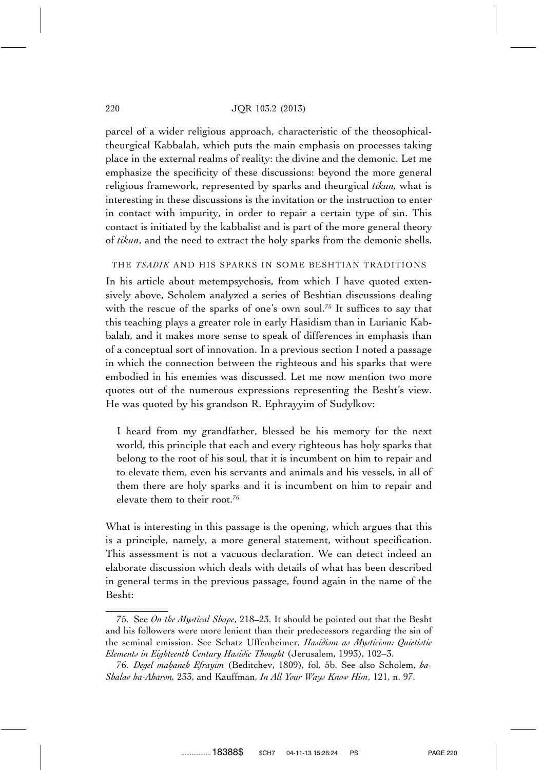## 220 JQR 103.2 (2013)

parcel of a wider religious approach, characteristic of the theosophicaltheurgical Kabbalah, which puts the main emphasis on processes taking place in the external realms of reality: the divine and the demonic. Let me emphasize the specificity of these discussions: beyond the more general religious framework, represented by sparks and theurgical *tikun,* what is interesting in these discussions is the invitation or the instruction to enter in contact with impurity, in order to repair a certain type of sin. This contact is initiated by the kabbalist and is part of the more general theory of *tikun*, and the need to extract the holy sparks from the demonic shells.

## THE *TSADIK* AND HIS SPARKS IN SOME BESHTIAN TRADITIONS

In his article about metempsychosis, from which I have quoted extensively above, Scholem analyzed a series of Beshtian discussions dealing with the rescue of the sparks of one's own soul.<sup>75</sup> It suffices to say that this teaching plays a greater role in early Hasidism than in Lurianic Kabbalah, and it makes more sense to speak of differences in emphasis than of a conceptual sort of innovation. In a previous section I noted a passage in which the connection between the righteous and his sparks that were embodied in his enemies was discussed. Let me now mention two more quotes out of the numerous expressions representing the Besht's view. He was quoted by his grandson R. Ephrayyim of Sudylkov:

I heard from my grandfather, blessed be his memory for the next world, this principle that each and every righteous has holy sparks that belong to the root of his soul, that it is incumbent on him to repair and to elevate them, even his servants and animals and his vessels, in all of them there are holy sparks and it is incumbent on him to repair and elevate them to their root.76

What is interesting in this passage is the opening, which argues that this is a principle, namely, a more general statement, without specification. This assessment is not a vacuous declaration. We can detect indeed an elaborate discussion which deals with details of what has been described in general terms in the previous passage, found again in the name of the Besht:

<sup>75.</sup> See *On the Mystical Shape*, 218–23. It should be pointed out that the Besht and his followers were more lenient than their predecessors regarding the sin of the seminal emission. See Schatz Uffenheimer, *Hasidism as Mysticism: Quietistic Elements in Eighteenth Century Hasidic Thought* (Jerusalem, 1993), 102–3.

<sup>76.</sup> Degel mahaneh Efrayim (Beditchev, 1809), fol. 5b. See also Scholem, ha-*Shalav ha-Aharon,* 233, and Kauffman, *In All Your Ways Know Him*, 121, n. 97.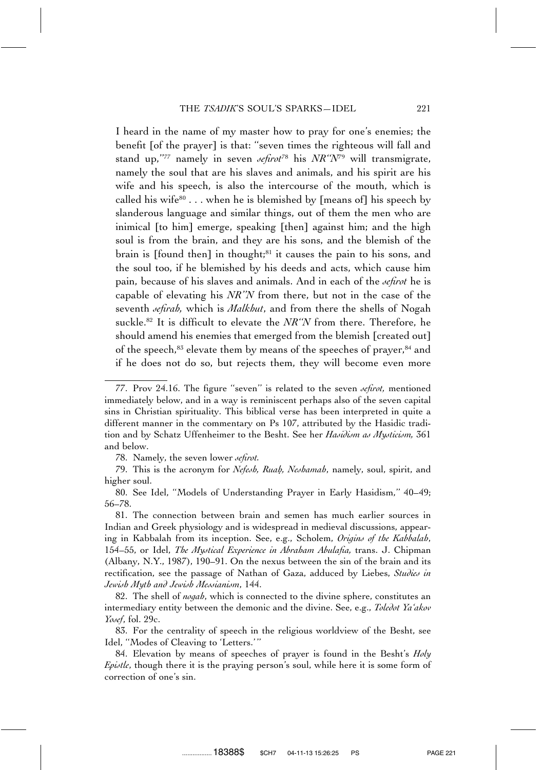I heard in the name of my master how to pray for one's enemies; the benefit [of the prayer] is that: ''seven times the righteous will fall and stand up,''77 namely in seven *sefirot*<sup>78</sup> his *NR''N*<sup>79</sup> will transmigrate, namely the soul that are his slaves and animals, and his spirit are his wife and his speech, is also the intercourse of the mouth, which is called his wife $80$ ... when he is blemished by [means of] his speech by slanderous language and similar things, out of them the men who are inimical [to him] emerge, speaking [then] against him; and the high soul is from the brain, and they are his sons, and the blemish of the brain is [found then] in thought; $81$  it causes the pain to his sons, and the soul too, if he blemished by his deeds and acts, which cause him pain, because of his slaves and animals. And in each of the *sefirot* he is capable of elevating his *NR''N* from there, but not in the case of the seventh *sefirah,* which is *Malkhut*, and from there the shells of Nogah suckle.82 It is difficult to elevate the *NR''N* from there. Therefore, he should amend his enemies that emerged from the blemish [created out] of the speech,<sup>83</sup> elevate them by means of the speeches of prayer,<sup>84</sup> and if he does not do so, but rejects them, they will become even more

78. Namely, the seven lower *sefirot.*

<sup>77.</sup> Prov 24.16. The figure ''seven'' is related to the seven *sefirot,* mentioned immediately below, and in a way is reminiscent perhaps also of the seven capital sins in Christian spirituality. This biblical verse has been interpreted in quite a different manner in the commentary on Ps 107, attributed by the Hasidic tradition and by Schatz Uffenheimer to the Besht. See her *Hasidism as Mysticism,* 361 and below.

<sup>79.</sup> This is the acronym for *Nefesh, Ruah. , Neshamah*, namely, soul, spirit, and higher soul.

<sup>80.</sup> See Idel, ''Models of Understanding Prayer in Early Hasidism,'' 40–49; 56–78.

<sup>81.</sup> The connection between brain and semen has much earlier sources in Indian and Greek physiology and is widespread in medieval discussions, appearing in Kabbalah from its inception. See, e.g., Scholem, *Origins of the Kabbalah*, 154–55, or Idel, *The Mystical Experience in Abraham Abulafia,* trans. J. Chipman (Albany, N.Y., 1987), 190–91. On the nexus between the sin of the brain and its rectification, see the passage of Nathan of Gaza, adduced by Liebes, *Studies in Jewish Myth and Jewish Messianism*, 144.

<sup>82.</sup> The shell of *nogah*, which is connected to the divine sphere, constitutes an intermediary entity between the demonic and the divine. See, e.g., *Toledot Ya'akov Yosef*, fol. 29c.

<sup>83.</sup> For the centrality of speech in the religious worldview of the Besht, see Idel, ''Modes of Cleaving to 'Letters.' ''

<sup>84.</sup> Elevation by means of speeches of prayer is found in the Besht's *Holy Epistle*, though there it is the praying person's soul, while here it is some form of correction of one's sin.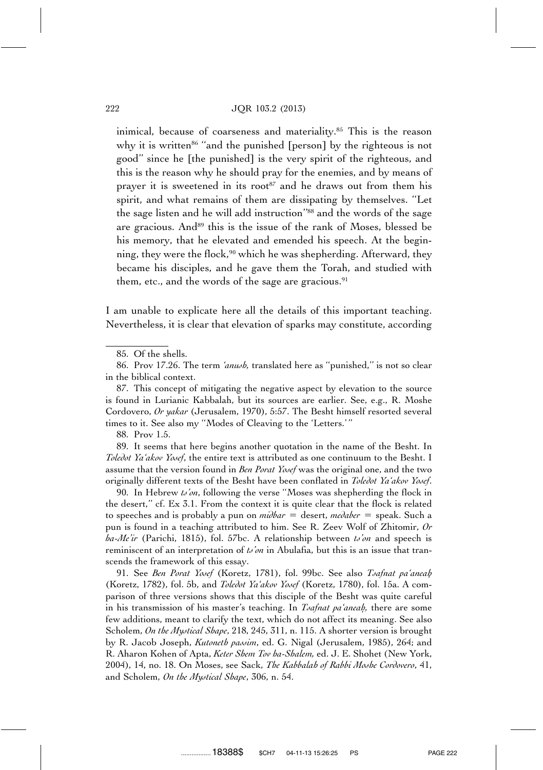inimical, because of coarseness and materiality.<sup>85</sup> This is the reason why it is written<sup>86</sup> "and the punished [person] by the righteous is not good'' since he [the punished] is the very spirit of the righteous, and this is the reason why he should pray for the enemies, and by means of prayer it is sweetened in its root<sup>87</sup> and he draws out from them his spirit, and what remains of them are dissipating by themselves. ''Let the sage listen and he will add instruction''88 and the words of the sage are gracious. And<sup>89</sup> this is the issue of the rank of Moses, blessed be his memory, that he elevated and emended his speech. At the beginning, they were the flock,<sup>90</sup> which he was shepherding. Afterward, they became his disciples, and he gave them the Torah, and studied with them, etc., and the words of the sage are gracious.<sup>91</sup>

I am unable to explicate here all the details of this important teaching. Nevertheless, it is clear that elevation of sparks may constitute, according

87. This concept of mitigating the negative aspect by elevation to the source is found in Lurianic Kabbalah, but its sources are earlier. See, e.g., R. Moshe Cordovero, *Or yakar* (Jerusalem, 1970), 5:57. The Besht himself resorted several times to it. See also my ''Modes of Cleaving to the 'Letters.' ''

88. Prov 1.5.

89. It seems that here begins another quotation in the name of the Besht. In *Toledot Ya'akov Yosef*, the entire text is attributed as one continuum to the Besht. I assume that the version found in *Ben Porat Yosef* was the original one, and the two originally different texts of the Besht have been conflated in *Toledot Ya'akov Yosef*.

90. In Hebrew *ts'on*, following the verse ''Moses was shepherding the flock in the desert,'' cf. Ex 3.1. From the context it is quite clear that the flock is related to speeches and is probably a pun on  $m\partial bar =$  desert,  $me\partial aber =$  speak. Such a pun is found in a teaching attributed to him. See R. Zeev Wolf of Zhitomir, *Or ha-Me'ir* (Parichi, 1815), fol. 57bc. A relationship between *ts'on* and speech is reminiscent of an interpretation of *ts'on* in Abulafia, but this is an issue that transcends the framework of this essay.

91. See *Ben Porat Yosef* (Koretz, 1781), fol. 99bc. See also *Tsafnat pa'aneah.* (Koretz, 1782), fol. 5b, and *Toledot Ya'akov Yosef* (Koretz, 1780), fol. 15a. A comparison of three versions shows that this disciple of the Besht was quite careful in his transmission of his master's teaching. In *Toafnat pa'aneah*, there are some few additions, meant to clarify the text, which do not affect its meaning. See also Scholem, *On the Mystical Shape*, 218, 245, 311, n. 115. A shorter version is brought by R. Jacob Joseph, *Kutoneth passim*, ed. G. Nigal (Jerusalem, 1985), 264; and R. Aharon Kohen of Apta, *Keter Shem Tov ha-Shalem,* ed. J. E. Shohet (New York, 2004), 14, no. 18. On Moses, see Sack, *The Kabbalah of Rabbi Moshe Cordovero*, 41, and Scholem, *On the Mystical Shape*, 306, n. 54.

<sup>85.</sup> Of the shells.

<sup>86.</sup> Prov 17.26. The term *'anush,* translated here as ''punished,'' is not so clear in the biblical context.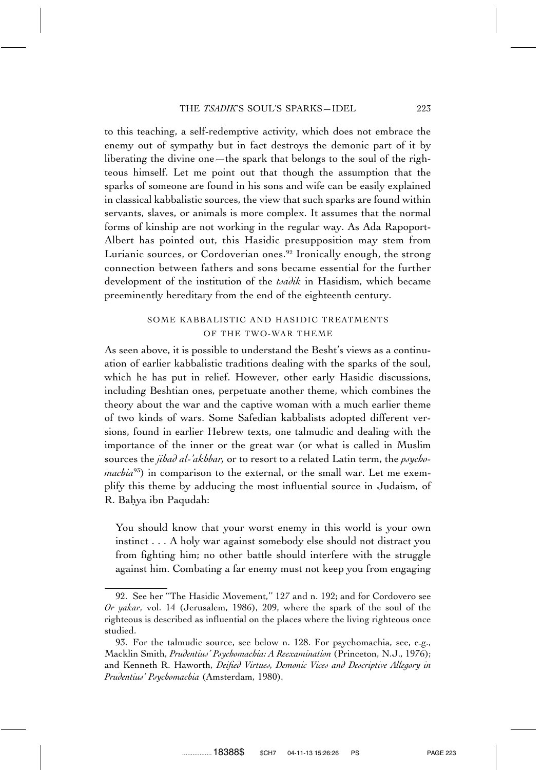to this teaching, a self-redemptive activity, which does not embrace the enemy out of sympathy but in fact destroys the demonic part of it by liberating the divine one—the spark that belongs to the soul of the righteous himself. Let me point out that though the assumption that the sparks of someone are found in his sons and wife can be easily explained in classical kabbalistic sources, the view that such sparks are found within servants, slaves, or animals is more complex. It assumes that the normal forms of kinship are not working in the regular way. As Ada Rapoport-Albert has pointed out, this Hasidic presupposition may stem from Lurianic sources, or Cordoverian ones.<sup>92</sup> Ironically enough, the strong connection between fathers and sons became essential for the further development of the institution of the *tsadik* in Hasidism, which became preeminently hereditary from the end of the eighteenth century.

# SOME KABBALISTIC AND HASIDIC TREATMENTS OF THE TWO-WAR THEME

As seen above, it is possible to understand the Besht's views as a continuation of earlier kabbalistic traditions dealing with the sparks of the soul, which he has put in relief. However, other early Hasidic discussions, including Beshtian ones, perpetuate another theme, which combines the theory about the war and the captive woman with a much earlier theme of two kinds of wars. Some Safedian kabbalists adopted different versions, found in earlier Hebrew texts, one talmudic and dealing with the importance of the inner or the great war (or what is called in Muslim sources the *jihad al-'akhbar,* or to resort to a related Latin term, the *psychomachia*93) in comparison to the external, or the small war. Let me exemplify this theme by adducing the most influential source in Judaism, of R. Bahya ibn Paqudah:

You should know that your worst enemy in this world is your own instinct . . . A holy war against somebody else should not distract you from fighting him; no other battle should interfere with the struggle against him. Combating a far enemy must not keep you from engaging

<sup>92.</sup> See her ''The Hasidic Movement,'' 127 and n. 192; and for Cordovero see *Or yakar*, vol. 14 (Jerusalem, 1986), 209, where the spark of the soul of the righteous is described as influential on the places where the living righteous once studied.

<sup>93.</sup> For the talmudic source, see below n. 128. For psychomachia, see, e.g., Macklin Smith, *Prudentius' Psychomachia: A Reexamination* (Princeton, N.J., 1976); and Kenneth R. Haworth, *Deified Virtues, Demonic Vices and Descriptive Allegory in Prudentius' Psychomachia* (Amsterdam, 1980).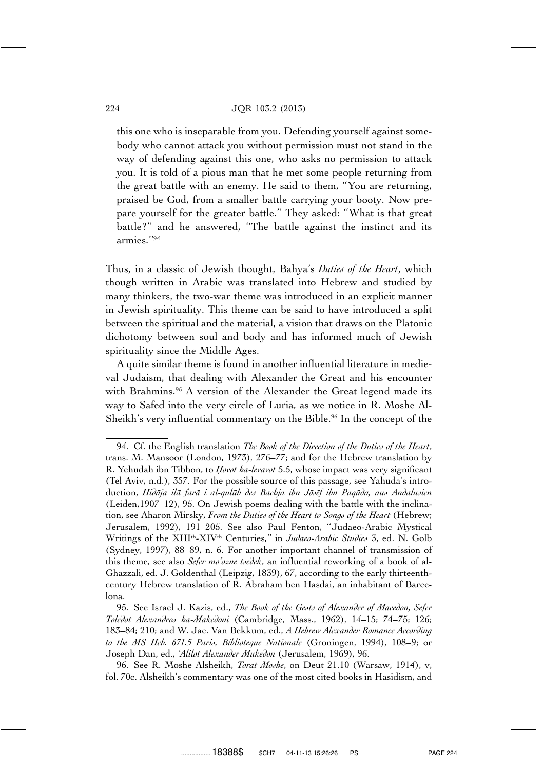this one who is inseparable from you. Defending yourself against somebody who cannot attack you without permission must not stand in the way of defending against this one, who asks no permission to attack you. It is told of a pious man that he met some people returning from the great battle with an enemy. He said to them, ''You are returning, praised be God, from a smaller battle carrying your booty. Now prepare yourself for the greater battle.'' They asked: ''What is that great battle?'' and he answered, ''The battle against the instinct and its armies.''94

Thus, in a classic of Jewish thought, Bahya's *Duties of the Heart*, which though written in Arabic was translated into Hebrew and studied by many thinkers, the two-war theme was introduced in an explicit manner in Jewish spirituality. This theme can be said to have introduced a split between the spiritual and the material, a vision that draws on the Platonic dichotomy between soul and body and has informed much of Jewish spirituality since the Middle Ages.

A quite similar theme is found in another influential literature in medieval Judaism, that dealing with Alexander the Great and his encounter with Brahmins.<sup>95</sup> A version of the Alexander the Great legend made its way to Safed into the very circle of Luria, as we notice in R. Moshe Al-Sheikh's very influential commentary on the Bible.<sup>96</sup> In the concept of the

<sup>94.</sup> Cf. the English translation *The Book of the Direction of the Duties of the Heart*, trans. M. Mansoor (London, 1973), 276–77; and for the Hebrew translation by R. Yehudah ibn Tibbon, to *Hovot ha-levavot* 5.5, whose impact was very significant (Tel Aviv, n.d.), 357. For the possible source of this passage, see Yahuda's introduction, *Hida¯ja ila¯ fara¯ i al-qulu¯ b des Bachja ibn Jo¯se¯f ibn Paqu¯ da, aus Andalusien* (Leiden,1907–12), 95. On Jewish poems dealing with the battle with the inclination, see Aharon Mirsky, *From the Duties of the Heart to Songs of the Heart* (Hebrew; Jerusalem, 1992), 191–205. See also Paul Fenton, ''Judaeo-Arabic Mystical Writings of the XIII<sup>th</sup>-XIV<sup>th</sup> Centuries," in *Judaeo-Arabic Studies* 3, ed. N. Golb (Sydney, 1997), 88–89, n. 6. For another important channel of transmission of this theme, see also *Sefer mo'ozne tsedek*, an influential reworking of a book of al-Ghazzali, ed. J. Goldenthal (Leipzig, 1839), 67, according to the early thirteenthcentury Hebrew translation of R. Abraham ben Hasdai, an inhabitant of Barcelona.

<sup>95.</sup> See Israel J. Kazis, ed., *The Book of the Gests of Alexander of Macedon, Sefer Toledot Alexandros ha-Makedoni* (Cambridge, Mass., 1962), 14–15; 74–75; 126; 183–84; 210; and W. Jac. Van Bekkum, ed., *A Hebrew Alexander Romance According to the MS Heb. 671.5 Paris, Biblioteque Nationale* (Groningen, 1994), 108–9; or Joseph Dan, ed., *'Alilot Alexander Mukedon* (Jerusalem, 1969), 96.

<sup>96.</sup> See R. Moshe Alsheikh, *Torat Moshe*, on Deut 21.10 (Warsaw, 1914), v, fol. 70c. Alsheikh's commentary was one of the most cited books in Hasidism, and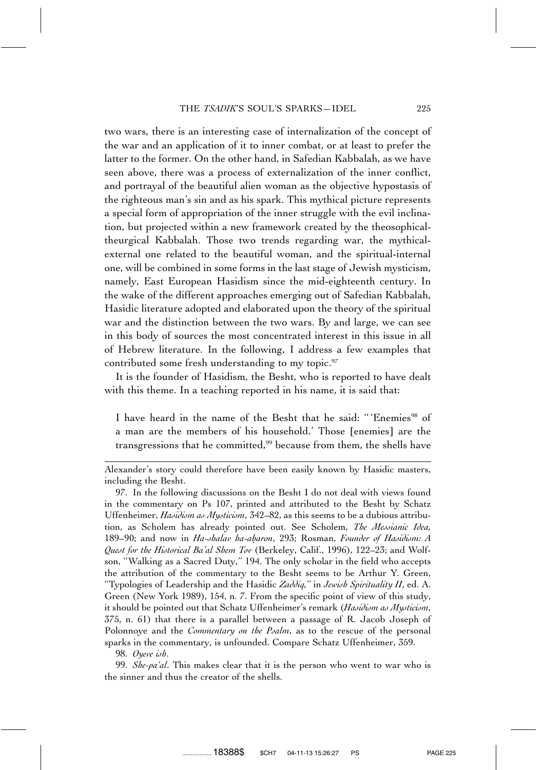two wars, there is an interesting case of internalization of the concept of the war and an application of it to inner combat, or at least to prefer the latter to the former. On the other hand, in Safedian Kabbalah, as we have seen above, there was a process of externalization of the inner conflict, and portrayal of the beautiful alien woman as the objective hypostasis of the righteous man's sin and as his spark. This mythical picture represents a special form of appropriation of the inner struggle with the evil inclination, but projected within a new framework created by the theosophicaltheurgical Kabbalah. Those two trends regarding war, the mythicalexternal one related to the beautiful woman, and the spiritual-internal one, will be combined in some forms in the last stage of Jewish mysticism, namely, East European Hasidism since the mid-eighteenth century. In the wake of the different approaches emerging out of Safedian Kabbalah, Hasidic literature adopted and elaborated upon the theory of the spiritual war and the distinction between the two wars. By and large, we can see in this body of sources the most concentrated interest in this issue in all of Hebrew literature. In the following, I address a few examples that contributed some fresh understanding to my topic.<sup>97</sup>

It is the founder of Hasidism, the Besht, who is reported to have dealt with this theme. In a teaching reported in his name, it is said that:

I have heard in the name of the Besht that he said: "'Enemies<sup>98</sup> of a man are the members of his household.' Those [enemies] are the transgressions that he committed,<sup>99</sup> because from them, the shells have

98. *Oyeve ish*.

99. *She-pa'al*. This makes clear that it is the person who went to war who is the sinner and thus the creator of the shells.

Alexander's story could therefore have been easily known by Hasidic masters, including the Besht.

<sup>97.</sup> In the following discussions on the Besht I do not deal with views found in the commentary on Ps 107, printed and attributed to the Besht by Schatz Uffenheimer, *Hasidism as Mysticism*, 342–82, as this seems to be a dubious attribution, as Scholem has already pointed out. See Scholem, *The Messianic Idea,* 189–90; and now in *Ha-shalav ha-aharon*, 293; Rosman, *Founder of Hasidism: A Quest for the Historical Ba'al Shem Tov* (Berkeley, Calif., 1996), 122–23; and Wolfson, ''Walking as a Sacred Duty,'' 194. The only scholar in the field who accepts the attribution of the commentary to the Besht seems to be Arthur Y. Green, ''Typologies of Leadership and the Hasidic *Zaddiq,*'' in *Jewish Spirituality II*, ed. A. Green (New York 1989), 154, n. 7. From the specific point of view of this study, it should be pointed out that Schatz Uffenheimer's remark (*Hasidism as Mysticism*, 375, n. 61) that there is a parallel between a passage of R. Jacob Joseph of Polonnoye and the *Commentary on the Psalm*, as to the rescue of the personal sparks in the commentary, is unfounded. Compare Schatz Uffenheimer, 359.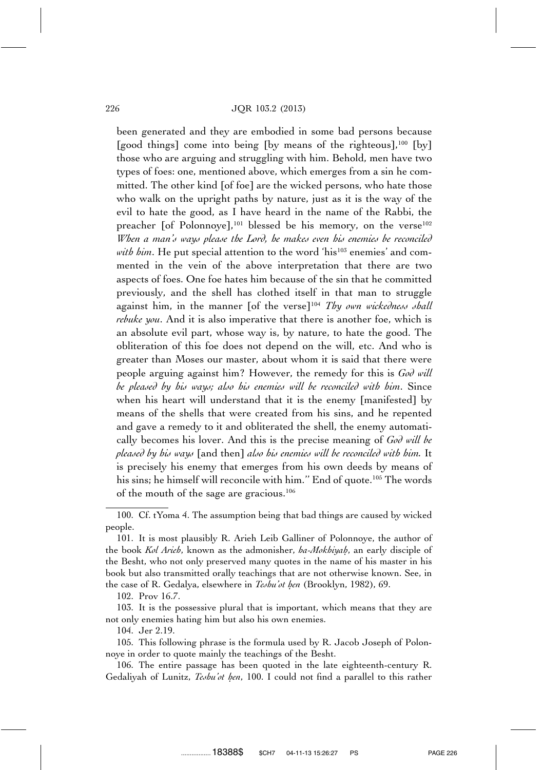been generated and they are embodied in some bad persons because [good things] come into being [by means of the righteous],<sup>100</sup> [by] those who are arguing and struggling with him. Behold, men have two types of foes: one, mentioned above, which emerges from a sin he committed. The other kind [of foe] are the wicked persons, who hate those who walk on the upright paths by nature, just as it is the way of the evil to hate the good, as I have heard in the name of the Rabbi, the preacher  $[$ of Polonnoye],<sup>101</sup> blessed be his memory, on the verse<sup>102</sup> *When a man's ways please the Lord, he makes even his enemies be reconciled* with him. He put special attention to the word 'his<sup>103</sup> enemies' and commented in the vein of the above interpretation that there are two aspects of foes. One foe hates him because of the sin that he committed previously, and the shell has clothed itself in that man to struggle against him, in the manner [of the verse]<sup>104</sup> *Thy own wickedness shall rebuke you*. And it is also imperative that there is another foe, which is an absolute evil part, whose way is, by nature, to hate the good. The obliteration of this foe does not depend on the will, etc. And who is greater than Moses our master, about whom it is said that there were people arguing against him? However, the remedy for this is *God will be pleased by his ways; also his enemies will be reconciled with him*. Since when his heart will understand that it is the enemy [manifested] by means of the shells that were created from his sins, and he repented and gave a remedy to it and obliterated the shell, the enemy automatically becomes his lover. And this is the precise meaning of *God will be pleased by his ways* [and then] *also his enemies will be reconciled with him.* It is precisely his enemy that emerges from his own deeds by means of his sins; he himself will reconcile with him." End of quote.<sup>105</sup> The words of the mouth of the sage are gracious.<sup>106</sup>

102. Prov 16.7.

103. It is the possessive plural that is important, which means that they are not only enemies hating him but also his own enemies.

104. Jer 2.19.

105. This following phrase is the formula used by R. Jacob Joseph of Polonnoye in order to quote mainly the teachings of the Besht.

106. The entire passage has been quoted in the late eighteenth-century R. Gedaliyah of Lunitz, *Teshu'ot hen*, 100. I could not find a parallel to this rather

<sup>100.</sup> Cf. tYoma 4. The assumption being that bad things are caused by wicked people.

<sup>101.</sup> It is most plausibly R. Arieh Leib Galliner of Polonnoye, the author of the book *Kol Arieh*, known as the admonisher, *ha-Mokhiyah.* , an early disciple of the Besht, who not only preserved many quotes in the name of his master in his book but also transmitted orally teachings that are not otherwise known. See, in the case of R. Gedalya, elsewhere in *Teshu'ot hen* (Brooklyn, 1982), 69.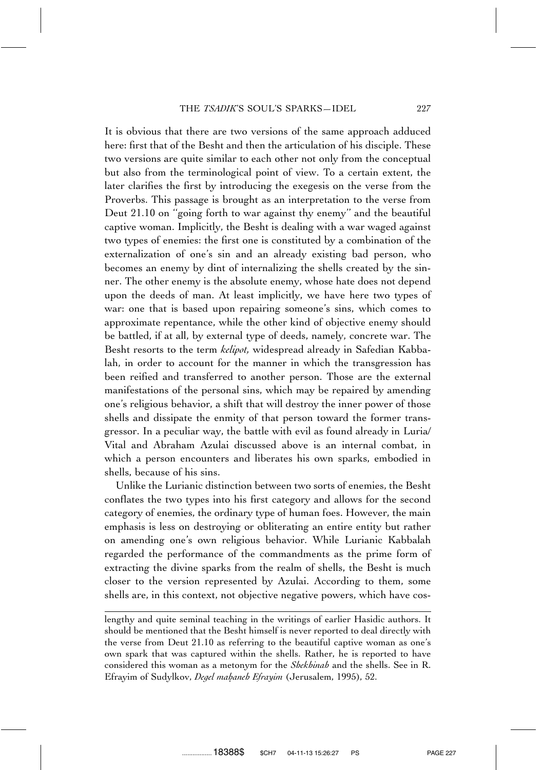It is obvious that there are two versions of the same approach adduced here: first that of the Besht and then the articulation of his disciple. These two versions are quite similar to each other not only from the conceptual but also from the terminological point of view. To a certain extent, the later clarifies the first by introducing the exegesis on the verse from the Proverbs. This passage is brought as an interpretation to the verse from Deut 21.10 on ''going forth to war against thy enemy'' and the beautiful captive woman. Implicitly, the Besht is dealing with a war waged against two types of enemies: the first one is constituted by a combination of the externalization of one's sin and an already existing bad person, who becomes an enemy by dint of internalizing the shells created by the sinner. The other enemy is the absolute enemy, whose hate does not depend upon the deeds of man. At least implicitly, we have here two types of war: one that is based upon repairing someone's sins, which comes to approximate repentance, while the other kind of objective enemy should be battled, if at all, by external type of deeds, namely, concrete war. The Besht resorts to the term *kelipot,* widespread already in Safedian Kabbalah, in order to account for the manner in which the transgression has been reified and transferred to another person. Those are the external manifestations of the personal sins, which may be repaired by amending one's religious behavior, a shift that will destroy the inner power of those shells and dissipate the enmity of that person toward the former transgressor. In a peculiar way, the battle with evil as found already in Luria/ Vital and Abraham Azulai discussed above is an internal combat, in which a person encounters and liberates his own sparks, embodied in shells, because of his sins.

Unlike the Lurianic distinction between two sorts of enemies, the Besht conflates the two types into his first category and allows for the second category of enemies, the ordinary type of human foes. However, the main emphasis is less on destroying or obliterating an entire entity but rather on amending one's own religious behavior. While Lurianic Kabbalah regarded the performance of the commandments as the prime form of extracting the divine sparks from the realm of shells, the Besht is much closer to the version represented by Azulai. According to them, some shells are, in this context, not objective negative powers, which have cos-

lengthy and quite seminal teaching in the writings of earlier Hasidic authors. It should be mentioned that the Besht himself is never reported to deal directly with the verse from Deut 21.10 as referring to the beautiful captive woman as one's own spark that was captured within the shells. Rather, he is reported to have considered this woman as a metonym for the *Shekhinah* and the shells. See in R. Efrayim of Sudylkov, *Degel mahaneh Efrayim* (Jerusalem, 1995), 52.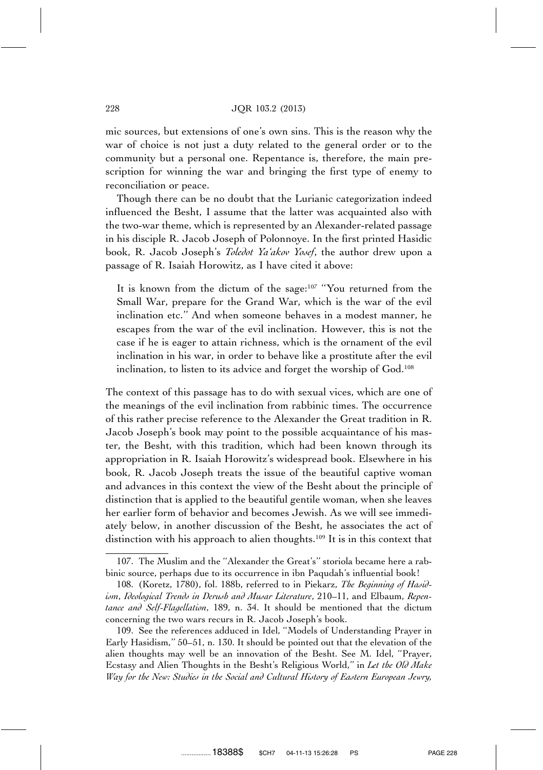mic sources, but extensions of one's own sins. This is the reason why the war of choice is not just a duty related to the general order or to the community but a personal one. Repentance is, therefore, the main prescription for winning the war and bringing the first type of enemy to reconciliation or peace.

Though there can be no doubt that the Lurianic categorization indeed influenced the Besht, I assume that the latter was acquainted also with the two-war theme, which is represented by an Alexander-related passage in his disciple R. Jacob Joseph of Polonnoye. In the first printed Hasidic book, R. Jacob Joseph's *Toledot Ya'akov Yosef*, the author drew upon a passage of R. Isaiah Horowitz, as I have cited it above:

It is known from the dictum of the sage:<sup>107</sup> "You returned from the Small War, prepare for the Grand War, which is the war of the evil inclination etc.'' And when someone behaves in a modest manner, he escapes from the war of the evil inclination. However, this is not the case if he is eager to attain richness, which is the ornament of the evil inclination in his war, in order to behave like a prostitute after the evil inclination, to listen to its advice and forget the worship of God.108

The context of this passage has to do with sexual vices, which are one of the meanings of the evil inclination from rabbinic times. The occurrence of this rather precise reference to the Alexander the Great tradition in R. Jacob Joseph's book may point to the possible acquaintance of his master, the Besht, with this tradition, which had been known through its appropriation in R. Isaiah Horowitz's widespread book. Elsewhere in his book, R. Jacob Joseph treats the issue of the beautiful captive woman and advances in this context the view of the Besht about the principle of distinction that is applied to the beautiful gentile woman, when she leaves her earlier form of behavior and becomes Jewish. As we will see immediately below, in another discussion of the Besht, he associates the act of distinction with his approach to alien thoughts.109 It is in this context that

<sup>107.</sup> The Muslim and the ''Alexander the Great's'' storiola became here a rabbinic source, perhaps due to its occurrence in ibn Paqudah's influential book!

<sup>108. (</sup>Koretz, 1780), fol. 188b, referred to in Piekarz, *The Beginning of Hasidism*, *Ideological Trends in Derush and Musar Literature*, 210–11, and Elbaum, *Repentance and Self-Flagellation*, 189, n. 34. It should be mentioned that the dictum concerning the two wars recurs in R. Jacob Joseph's book.

<sup>109.</sup> See the references adduced in Idel, ''Models of Understanding Prayer in Early Hasidism,'' 50–51, n. 130. It should be pointed out that the elevation of the alien thoughts may well be an innovation of the Besht. See M. Idel, ''Prayer, Ecstasy and Alien Thoughts in the Besht's Religious World,'' in *Let the Old Make Way for the New: Studies in the Social and Cultural History of Eastern European Jewry,*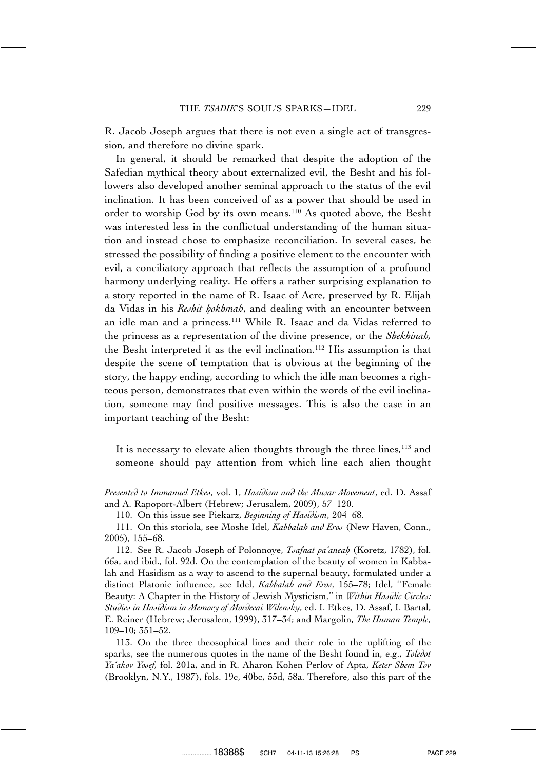R. Jacob Joseph argues that there is not even a single act of transgression, and therefore no divine spark.

In general, it should be remarked that despite the adoption of the Safedian mythical theory about externalized evil, the Besht and his followers also developed another seminal approach to the status of the evil inclination. It has been conceived of as a power that should be used in order to worship God by its own means.110 As quoted above, the Besht was interested less in the conflictual understanding of the human situation and instead chose to emphasize reconciliation. In several cases, he stressed the possibility of finding a positive element to the encounter with evil, a conciliatory approach that reflects the assumption of a profound harmony underlying reality. He offers a rather surprising explanation to a story reported in the name of R. Isaac of Acre, preserved by R. Elijah da Vidas in his *Reshit hokhmah*, and dealing with an encounter between an idle man and a princess.111 While R. Isaac and da Vidas referred to the princess as a representation of the divine presence, or the *Shekhinah,* the Besht interpreted it as the evil inclination.112 His assumption is that despite the scene of temptation that is obvious at the beginning of the story, the happy ending, according to which the idle man becomes a righteous person, demonstrates that even within the words of the evil inclination, someone may find positive messages. This is also the case in an important teaching of the Besht:

It is necessary to elevate alien thoughts through the three lines,<sup>113</sup> and someone should pay attention from which line each alien thought

*Presented to Immanuel Etkes*, vol. 1, *Hasidism and the Musar Movement*, ed. D. Assaf and A. Rapoport-Albert (Hebrew; Jerusalem, 2009), 57–120.

<sup>110.</sup> On this issue see Piekarz, *Beginning of Hasidism*, 204–68.

<sup>111.</sup> On this storiola, see Moshe Idel, *Kabbalah and Eros* (New Haven, Conn., 2005), 155–68.

<sup>112.</sup> See R. Jacob Joseph of Polonnoye, *Tsafnat pa'aneah.* (Koretz, 1782), fol. 66a, and ibid., fol. 92d. On the contemplation of the beauty of women in Kabbalah and Hasidism as a way to ascend to the supernal beauty, formulated under a distinct Platonic influence, see Idel, *Kabbalah and Eros*, 155–78; Idel, ''Female Beauty: A Chapter in the History of Jewish Mysticism,'' in *Within Hasidic Circles: Studies in Hasidism in Memory of Mordecai Wilensky*, ed. I. Etkes, D. Assaf, I. Bartal, E. Reiner (Hebrew; Jerusalem, 1999), 317–34; and Margolin, *The Human Temple*, 109–10; 351–52.

<sup>113.</sup> On the three theosophical lines and their role in the uplifting of the sparks, see the numerous quotes in the name of the Besht found in, e.g., *Toledot Ya'akov Yosef,* fol. 201a, and in R. Aharon Kohen Perlov of Apta, *Keter Shem Tov* (Brooklyn, N.Y., 1987), fols. 19c, 40bc, 55d, 58a. Therefore, also this part of the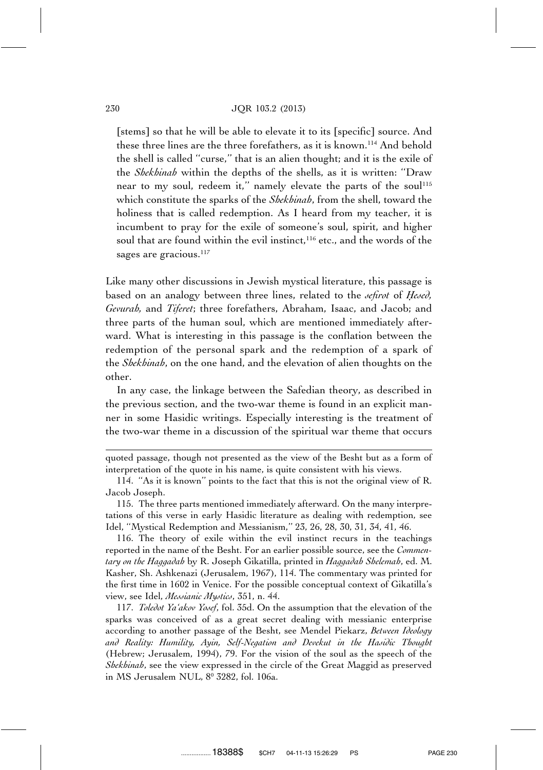[stems] so that he will be able to elevate it to its [specific] source. And these three lines are the three forefathers, as it is known.114 And behold the shell is called ''curse,'' that is an alien thought; and it is the exile of the *Shekhinah* within the depths of the shells, as it is written: ''Draw near to my soul, redeem it," namely elevate the parts of the soul<sup>115</sup> which constitute the sparks of the *Shekhinah*, from the shell, toward the holiness that is called redemption. As I heard from my teacher, it is incumbent to pray for the exile of someone's soul, spirit, and higher soul that are found within the evil instinct,<sup>116</sup> etc., and the words of the sages are gracious.<sup>117</sup>

Like many other discussions in Jewish mystical literature, this passage is based on an analogy between three lines, related to the *sefirot* of *Hesed*, *Gevurah,* and *Tiferet*; three forefathers, Abraham, Isaac, and Jacob; and three parts of the human soul, which are mentioned immediately afterward. What is interesting in this passage is the conflation between the redemption of the personal spark and the redemption of a spark of the *Shekhinah*, on the one hand, and the elevation of alien thoughts on the other.

In any case, the linkage between the Safedian theory, as described in the previous section, and the two-war theme is found in an explicit manner in some Hasidic writings. Especially interesting is the treatment of the two-war theme in a discussion of the spiritual war theme that occurs

quoted passage, though not presented as the view of the Besht but as a form of interpretation of the quote in his name, is quite consistent with his views.

114. ''As it is known'' points to the fact that this is not the original view of R. Jacob Joseph.

115. The three parts mentioned immediately afterward. On the many interpretations of this verse in early Hasidic literature as dealing with redemption, see Idel, ''Mystical Redemption and Messianism,'' 23, 26, 28, 30, 31, 34, 41, 46.

116. The theory of exile within the evil instinct recurs in the teachings reported in the name of the Besht. For an earlier possible source, see the *Commentary on the Haggadah* by R. Joseph Gikatilla, printed in *Haggadah Shelemah*, ed. M. Kasher, Sh. Ashkenazi (Jerusalem, 1967), 114. The commentary was printed for the first time in 1602 in Venice. For the possible conceptual context of Gikatilla's view, see Idel, *Messianic Mystics*, 351, n. 44.

117. *Toledot Ya'akov Yosef*, fol. 35d. On the assumption that the elevation of the sparks was conceived of as a great secret dealing with messianic enterprise according to another passage of the Besht, see Mendel Piekarz, *Between Ideology and Reality: Humility, Ayin, Self-Negation and Devekut in the Hasidic Thought* (Hebrew; Jerusalem, 1994), 79. For the vision of the soul as the speech of the *Shekhinah*, see the view expressed in the circle of the Great Maggid as preserved in MS Jerusalem NUL, 8º 3282, fol. 106a.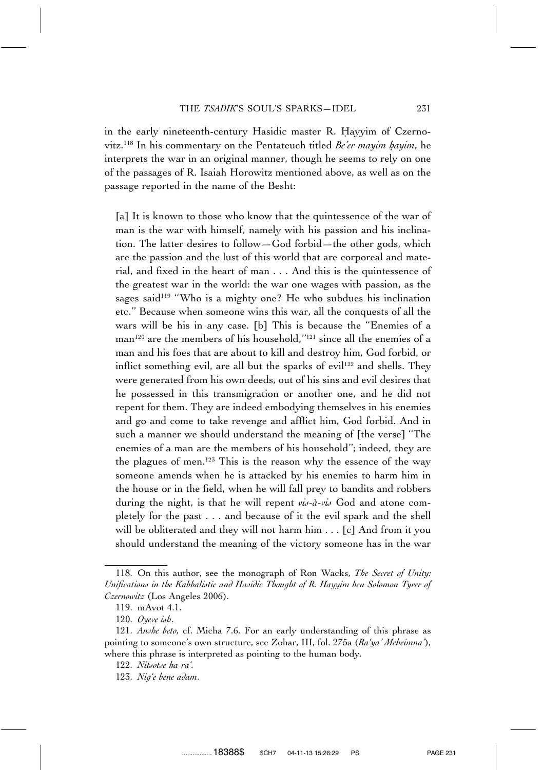in the early nineteenth-century Hasidic master R. Hayyim of Czernovitz.<sup>118</sup> In his commentary on the Pentateuch titled *Be'er mayim hayim*, he interprets the war in an original manner, though he seems to rely on one of the passages of R. Isaiah Horowitz mentioned above, as well as on the passage reported in the name of the Besht:

[a] It is known to those who know that the quintessence of the war of man is the war with himself, namely with his passion and his inclination. The latter desires to follow—God forbid—the other gods, which are the passion and the lust of this world that are corporeal and material, and fixed in the heart of man . . . And this is the quintessence of the greatest war in the world: the war one wages with passion, as the sages said<sup>119</sup> "Who is a mighty one? He who subdues his inclination etc.'' Because when someone wins this war, all the conquests of all the wars will be his in any case. [b] This is because the ''Enemies of a man120 are the members of his household,''121 since all the enemies of a man and his foes that are about to kill and destroy him, God forbid, or inflict something evil, are all but the sparks of evil<sup>122</sup> and shells. They were generated from his own deeds, out of his sins and evil desires that he possessed in this transmigration or another one, and he did not repent for them. They are indeed embodying themselves in his enemies and go and come to take revenge and afflict him, God forbid. And in such a manner we should understand the meaning of [the verse] ''The enemies of a man are the members of his household''; indeed, they are the plagues of men.123 This is the reason why the essence of the way someone amends when he is attacked by his enemies to harm him in the house or in the field, when he will fall prey to bandits and robbers during the night, is that he will repent *vis-a`-vis* God and atone completely for the past . . . and because of it the evil spark and the shell will be obliterated and they will not harm him . . . [c] And from it you should understand the meaning of the victory someone has in the war

<sup>118.</sup> On this author, see the monograph of Ron Wacks, *The Secret of Unity: Unifications in the Kabbalistic and Hasidic Thought of R. Hayyim ben Solomon Tyrer of Czernowitz* (Los Angeles 2006).

<sup>119.</sup> mAvot 4.1.

<sup>120.</sup> *Oyeve ish*.

<sup>121.</sup> *Anshe beto,* cf. Micha 7.6. For an early understanding of this phrase as pointing to someone's own structure, see Zohar, III, fol. 275a (*Ra'ya' Meheimna'*), where this phrase is interpreted as pointing to the human body.

<sup>122.</sup> *Nitsotse ha-ra'.*

<sup>123.</sup> *Nig'e bene adam*.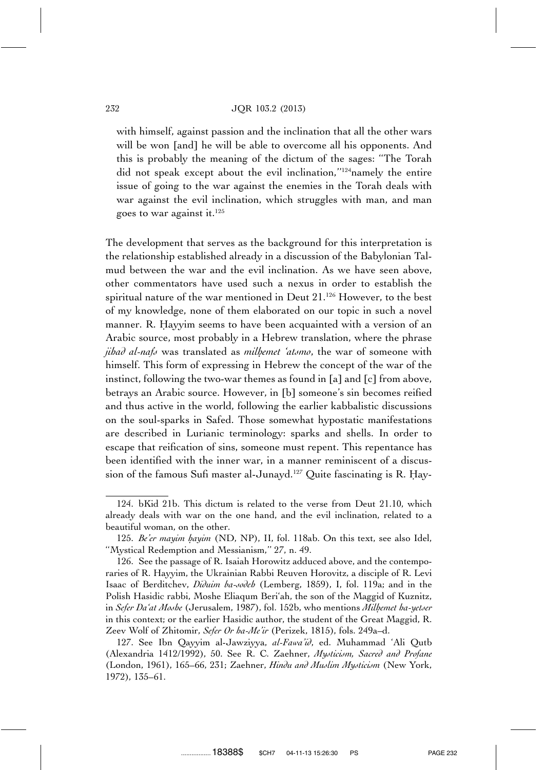with himself, against passion and the inclination that all the other wars will be won [and] he will be able to overcome all his opponents. And this is probably the meaning of the dictum of the sages: ''The Torah did not speak except about the evil inclination,  $\frac{124}{124}$ namely the entire issue of going to the war against the enemies in the Torah deals with war against the evil inclination, which struggles with man, and man goes to war against it.125

The development that serves as the background for this interpretation is the relationship established already in a discussion of the Babylonian Talmud between the war and the evil inclination. As we have seen above, other commentators have used such a nexus in order to establish the spiritual nature of the war mentioned in Deut 21.<sup>126</sup> However, to the best of my knowledge, none of them elaborated on our topic in such a novel manner. R. Hayyim seems to have been acquainted with a version of an Arabic source, most probably in a Hebrew translation, where the phrase *jihad al-nafs* was translated as *milhemet 'atsmo*, the war of someone with himself. This form of expressing in Hebrew the concept of the war of the instinct, following the two-war themes as found in [a] and [c] from above, betrays an Arabic source. However, in [b] someone's sin becomes reified and thus active in the world, following the earlier kabbalistic discussions on the soul-sparks in Safed. Those somewhat hypostatic manifestations are described in Lurianic terminology: sparks and shells. In order to escape that reification of sins, someone must repent. This repentance has been identified with the inner war, in a manner reminiscent of a discussion of the famous Sufi master al-Junayd.<sup>127</sup> Quite fascinating is R. Hay-

<sup>124.</sup> bKid 21b. This dictum is related to the verse from Deut 21.10, which already deals with war on the one hand, and the evil inclination, related to a beautiful woman, on the other.

<sup>125.</sup> *Be'er mayim hayim* (ND, NP), II, fol. 118ab. On this text, see also Idel, ''Mystical Redemption and Messianism,'' 27, n. 49.

<sup>126.</sup> See the passage of R. Isaiah Horowitz adduced above, and the contemporaries of R. Hayyim, the Ukrainian Rabbi Reuven Horovitz, a disciple of R. Levi Isaac of Berditchev, *Diduim ba-sodeh* (Lemberg, 1859), I, fol. 119a; and in the Polish Hasidic rabbi, Moshe Eliaqum Beri'ah, the son of the Maggid of Kuznitz, in *Sefer Da'at Moshe* (Jerusalem, 1987), fol. 152b, who mentions *Milhemet ha-yetser* in this context; or the earlier Hasidic author, the student of the Great Maggid, R. Zeev Wolf of Zhitomir, *Sefer Or ha-Me'ir* (Perizek, 1815), fols. 249a–d.

<sup>127.</sup> See Ibn Qayyim al-Jawziyya, *al-Fawa'id*, ed. Muhammad 'Ali Qutb (Alexandria 1412/1992), 50. See R. C. Zaehner, *Mysticism, Sacred and Profane* (London, 1961), 165–66, 231; Zaehner, *Hindu and Muslim Mysticism* (New York, 1972), 135–61.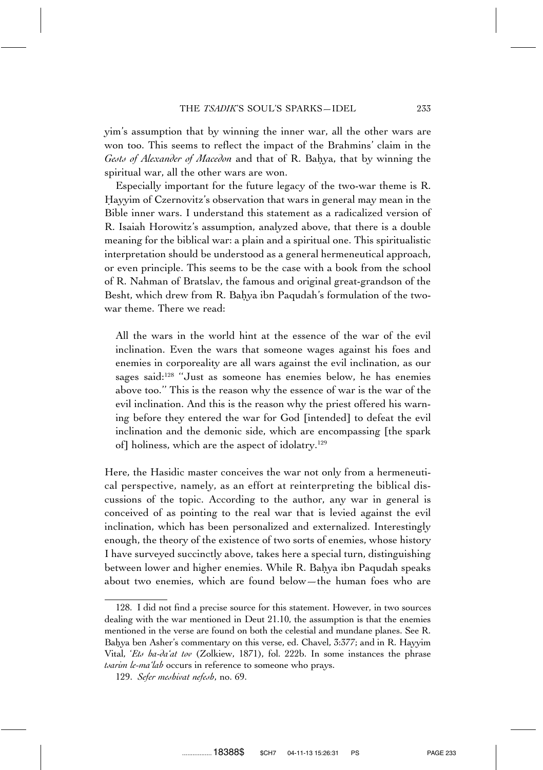yim's assumption that by winning the inner war, all the other wars are won too. This seems to reflect the impact of the Brahmins' claim in the *Gests of Alexander of Macedon* and that of R. Bahya, that by winning the spiritual war, all the other wars are won.

Especially important for the future legacy of the two-war theme is R. Hayyim of Czernovitz's observation that wars in general may mean in the Bible inner wars. I understand this statement as a radicalized version of R. Isaiah Horowitz's assumption, analyzed above, that there is a double meaning for the biblical war: a plain and a spiritual one. This spiritualistic interpretation should be understood as a general hermeneutical approach, or even principle. This seems to be the case with a book from the school of R. Nahman of Bratslav, the famous and original great-grandson of the Besht, which drew from R. Bahya ibn Paqudah's formulation of the twowar theme. There we read:

All the wars in the world hint at the essence of the war of the evil inclination. Even the wars that someone wages against his foes and enemies in corporeality are all wars against the evil inclination, as our sages said:<sup>128</sup> "Just as someone has enemies below, he has enemies above too.'' This is the reason why the essence of war is the war of the evil inclination. And this is the reason why the priest offered his warning before they entered the war for God [intended] to defeat the evil inclination and the demonic side, which are encompassing [the spark of] holiness, which are the aspect of idolatry.<sup>129</sup>

Here, the Hasidic master conceives the war not only from a hermeneutical perspective, namely, as an effort at reinterpreting the biblical discussions of the topic. According to the author, any war in general is conceived of as pointing to the real war that is levied against the evil inclination, which has been personalized and externalized. Interestingly enough, the theory of the existence of two sorts of enemies, whose history I have surveyed succinctly above, takes here a special turn, distinguishing between lower and higher enemies. While R. Bahya ibn Paqudah speaks about two enemies, which are found below—the human foes who are

<sup>128.</sup> I did not find a precise source for this statement. However, in two sources dealing with the war mentioned in Deut 21.10, the assumption is that the enemies mentioned in the verse are found on both the celestial and mundane planes. See R. Bahya ben Asher's commentary on this verse, ed. Chavel, 3:377; and in R. Hayyim Vital, '*Ets ha-da'at tov* (Zolkiew, 1871), fol. 222b. In some instances the phrase *tsarim le-ma'lah* occurs in reference to someone who prays.

<sup>129.</sup> *Sefer meshivat nefesh*, no. 69.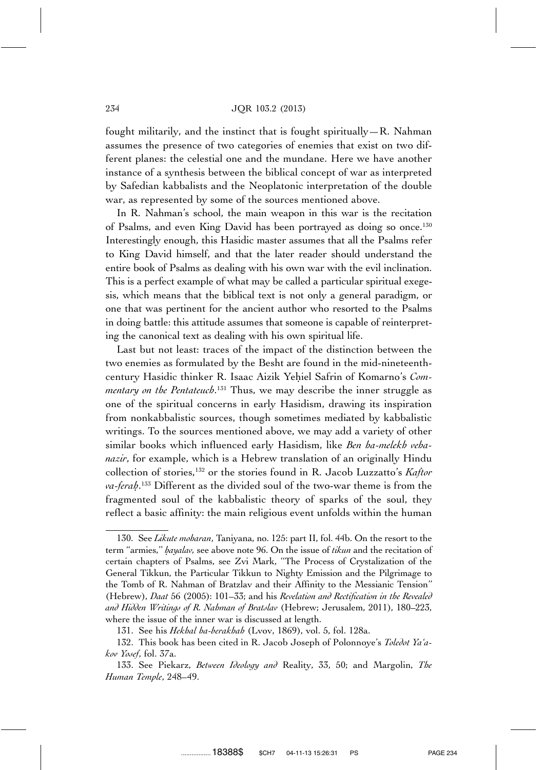#### 234 JQR 103.2 (2013)

fought militarily, and the instinct that is fought spiritually—R. Nahman assumes the presence of two categories of enemies that exist on two different planes: the celestial one and the mundane. Here we have another instance of a synthesis between the biblical concept of war as interpreted by Safedian kabbalists and the Neoplatonic interpretation of the double war, as represented by some of the sources mentioned above.

In R. Nahman's school, the main weapon in this war is the recitation of Psalms, and even King David has been portrayed as doing so once.<sup>130</sup> Interestingly enough, this Hasidic master assumes that all the Psalms refer to King David himself, and that the later reader should understand the entire book of Psalms as dealing with his own war with the evil inclination. This is a perfect example of what may be called a particular spiritual exegesis, which means that the biblical text is not only a general paradigm, or one that was pertinent for the ancient author who resorted to the Psalms in doing battle: this attitude assumes that someone is capable of reinterpreting the canonical text as dealing with his own spiritual life.

Last but not least: traces of the impact of the distinction between the two enemies as formulated by the Besht are found in the mid-nineteenthcentury Hasidic thinker R. Isaac Aizik Yehiel Safrin of Komarno's *Commentary on the Pentateuch*. <sup>131</sup> Thus, we may describe the inner struggle as one of the spiritual concerns in early Hasidism, drawing its inspiration from nonkabbalistic sources, though sometimes mediated by kabbalistic writings. To the sources mentioned above, we may add a variety of other similar books which influenced early Hasidism, like *Ben ha-melekh vehanazir*, for example, which is a Hebrew translation of an originally Hindu collection of stories,132 or the stories found in R. Jacob Luzzatto's *Kaftor va-ferah.* . <sup>133</sup> Different as the divided soul of the two-war theme is from the fragmented soul of the kabbalistic theory of sparks of the soul, they reflect a basic affinity: the main religious event unfolds within the human

<sup>130.</sup> See *Likute moharan*, Taniyana, no. 125: part II, fol. 44b. On the resort to the term ''armies,'' *h. ayalav,* see above note 96. On the issue of *tikun* and the recitation of certain chapters of Psalms, see Zvi Mark, ''The Process of Crystalization of the General Tikkun, the Particular Tikkun to Nighty Emission and the Pilgrimage to the Tomb of R. Nahman of Bratzlav and their Affinity to the Messianic Tension'' (Hebrew), *Daat* 56 (2005): 101–33; and his *Revelation and Rectification in the Revealed and Hidden Writings of R. Nahman of Bratslav* (Hebrew; Jerusalem, 2011), 180–223, where the issue of the inner war is discussed at length.

<sup>131.</sup> See his *Hekhal ha-berakhah* (Lvov, 1869), vol. 5, fol. 128a.

<sup>132.</sup> This book has been cited in R. Jacob Joseph of Polonnoye's *Toledot Ya'akov Yosef*, fol. 37a.

<sup>133.</sup> See Piekarz, *Between Ideology and* Reality, 33, 50; and Margolin, *The Human Temple*, 248–49.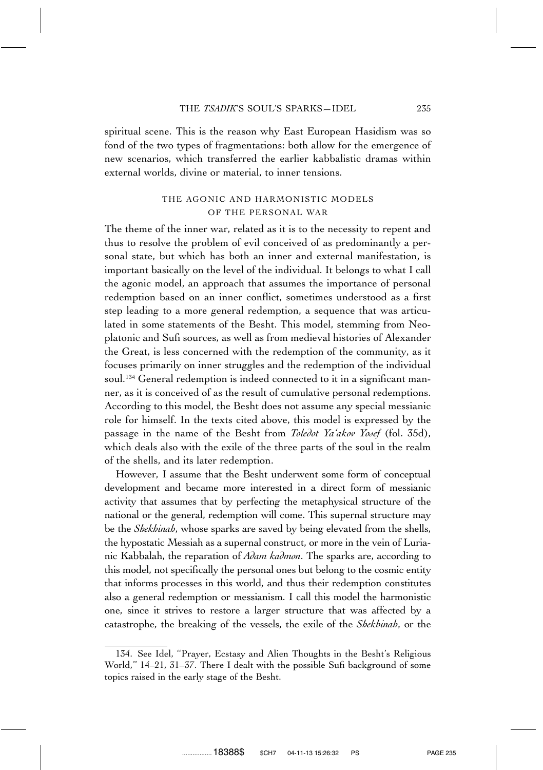spiritual scene. This is the reason why East European Hasidism was so fond of the two types of fragmentations: both allow for the emergence of new scenarios, which transferred the earlier kabbalistic dramas within external worlds, divine or material, to inner tensions.

## THE AGONIC AND HARMONISTIC MODELS OF THE PERSONAL WAR

The theme of the inner war, related as it is to the necessity to repent and thus to resolve the problem of evil conceived of as predominantly a personal state, but which has both an inner and external manifestation, is important basically on the level of the individual. It belongs to what I call the agonic model, an approach that assumes the importance of personal redemption based on an inner conflict, sometimes understood as a first step leading to a more general redemption, a sequence that was articulated in some statements of the Besht. This model, stemming from Neoplatonic and Sufi sources, as well as from medieval histories of Alexander the Great, is less concerned with the redemption of the community, as it focuses primarily on inner struggles and the redemption of the individual soul.<sup>134</sup> General redemption is indeed connected to it in a significant manner, as it is conceived of as the result of cumulative personal redemptions. According to this model, the Besht does not assume any special messianic role for himself. In the texts cited above, this model is expressed by the passage in the name of the Besht from *Toledot Ya'akov Yosef* (fol. 35d), which deals also with the exile of the three parts of the soul in the realm of the shells, and its later redemption.

However, I assume that the Besht underwent some form of conceptual development and became more interested in a direct form of messianic activity that assumes that by perfecting the metaphysical structure of the national or the general, redemption will come. This supernal structure may be the *Shekhinah*, whose sparks are saved by being elevated from the shells, the hypostatic Messiah as a supernal construct, or more in the vein of Lurianic Kabbalah, the reparation of *Adam kadmon*. The sparks are, according to this model, not specifically the personal ones but belong to the cosmic entity that informs processes in this world, and thus their redemption constitutes also a general redemption or messianism. I call this model the harmonistic one, since it strives to restore a larger structure that was affected by a catastrophe, the breaking of the vessels, the exile of the *Shekhinah*, or the

<sup>134.</sup> See Idel, ''Prayer, Ecstasy and Alien Thoughts in the Besht's Religious World,'' 14–21, 31–37. There I dealt with the possible Sufi background of some topics raised in the early stage of the Besht.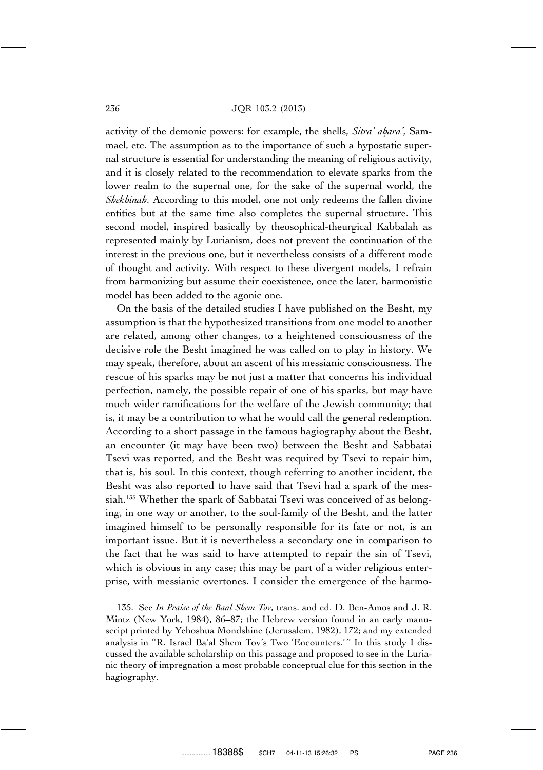activity of the demonic powers: for example, the shells, *Sitra' ahara'*, Sammael, etc. The assumption as to the importance of such a hypostatic supernal structure is essential for understanding the meaning of religious activity, and it is closely related to the recommendation to elevate sparks from the lower realm to the supernal one, for the sake of the supernal world, the *Shekhinah*. According to this model, one not only redeems the fallen divine entities but at the same time also completes the supernal structure. This second model, inspired basically by theosophical-theurgical Kabbalah as represented mainly by Lurianism, does not prevent the continuation of the interest in the previous one, but it nevertheless consists of a different mode of thought and activity. With respect to these divergent models, I refrain from harmonizing but assume their coexistence, once the later, harmonistic model has been added to the agonic one.

On the basis of the detailed studies I have published on the Besht, my assumption is that the hypothesized transitions from one model to another are related, among other changes, to a heightened consciousness of the decisive role the Besht imagined he was called on to play in history. We may speak, therefore, about an ascent of his messianic consciousness. The rescue of his sparks may be not just a matter that concerns his individual perfection, namely, the possible repair of one of his sparks, but may have much wider ramifications for the welfare of the Jewish community; that is, it may be a contribution to what he would call the general redemption. According to a short passage in the famous hagiography about the Besht, an encounter (it may have been two) between the Besht and Sabbatai Tsevi was reported, and the Besht was required by Tsevi to repair him, that is, his soul. In this context, though referring to another incident, the Besht was also reported to have said that Tsevi had a spark of the messiah.<sup>135</sup> Whether the spark of Sabbatai Tsevi was conceived of as belonging, in one way or another, to the soul-family of the Besht, and the latter imagined himself to be personally responsible for its fate or not, is an important issue. But it is nevertheless a secondary one in comparison to the fact that he was said to have attempted to repair the sin of Tsevi, which is obvious in any case; this may be part of a wider religious enterprise, with messianic overtones. I consider the emergence of the harmo-

<sup>135.</sup> See *In Praise of the Baal Shem Tov*, trans. and ed. D. Ben-Amos and J. R. Mintz (New York, 1984), 86–87; the Hebrew version found in an early manuscript printed by Yehoshua Mondshine (Jerusalem, 1982), 172; and my extended analysis in "R. Israel Ba'al Shem Tov's Two 'Encounters.'" In this study I discussed the available scholarship on this passage and proposed to see in the Lurianic theory of impregnation a most probable conceptual clue for this section in the hagiography.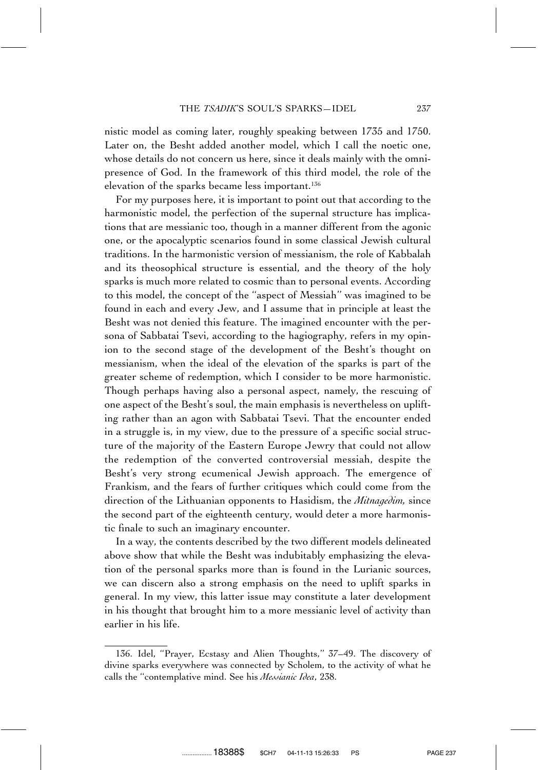nistic model as coming later, roughly speaking between 1735 and 1750. Later on, the Besht added another model, which I call the noetic one, whose details do not concern us here, since it deals mainly with the omnipresence of God. In the framework of this third model, the role of the elevation of the sparks became less important.136

For my purposes here, it is important to point out that according to the harmonistic model, the perfection of the supernal structure has implications that are messianic too, though in a manner different from the agonic one, or the apocalyptic scenarios found in some classical Jewish cultural traditions. In the harmonistic version of messianism, the role of Kabbalah and its theosophical structure is essential, and the theory of the holy sparks is much more related to cosmic than to personal events. According to this model, the concept of the ''aspect of Messiah'' was imagined to be found in each and every Jew, and I assume that in principle at least the Besht was not denied this feature. The imagined encounter with the persona of Sabbatai Tsevi, according to the hagiography, refers in my opinion to the second stage of the development of the Besht's thought on messianism, when the ideal of the elevation of the sparks is part of the greater scheme of redemption, which I consider to be more harmonistic. Though perhaps having also a personal aspect, namely, the rescuing of one aspect of the Besht's soul, the main emphasis is nevertheless on uplifting rather than an agon with Sabbatai Tsevi. That the encounter ended in a struggle is, in my view, due to the pressure of a specific social structure of the majority of the Eastern Europe Jewry that could not allow the redemption of the converted controversial messiah, despite the Besht's very strong ecumenical Jewish approach. The emergence of Frankism, and the fears of further critiques which could come from the direction of the Lithuanian opponents to Hasidism, the *Mitnagedim,* since the second part of the eighteenth century, would deter a more harmonistic finale to such an imaginary encounter.

In a way, the contents described by the two different models delineated above show that while the Besht was indubitably emphasizing the elevation of the personal sparks more than is found in the Lurianic sources, we can discern also a strong emphasis on the need to uplift sparks in general. In my view, this latter issue may constitute a later development in his thought that brought him to a more messianic level of activity than earlier in his life.

<sup>136.</sup> Idel, ''Prayer, Ecstasy and Alien Thoughts,'' 37–49. The discovery of divine sparks everywhere was connected by Scholem, to the activity of what he calls the ''contemplative mind. See his *Messianic Idea*, 238.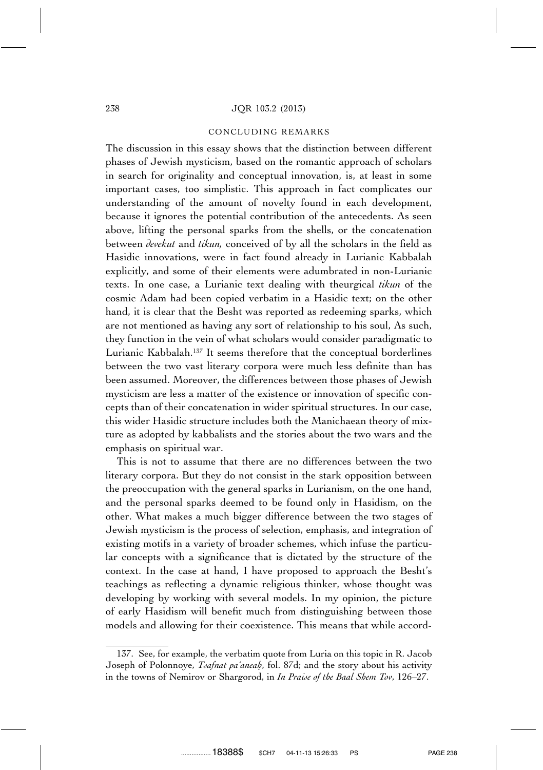## 238 JQR 103.2 (2013)

## CONCLUDING REMARKS

The discussion in this essay shows that the distinction between different phases of Jewish mysticism, based on the romantic approach of scholars in search for originality and conceptual innovation, is, at least in some important cases, too simplistic. This approach in fact complicates our understanding of the amount of novelty found in each development, because it ignores the potential contribution of the antecedents. As seen above, lifting the personal sparks from the shells, or the concatenation between *devekut* and *tikun,* conceived of by all the scholars in the field as Hasidic innovations, were in fact found already in Lurianic Kabbalah explicitly, and some of their elements were adumbrated in non-Lurianic texts. In one case, a Lurianic text dealing with theurgical *tikun* of the cosmic Adam had been copied verbatim in a Hasidic text; on the other hand, it is clear that the Besht was reported as redeeming sparks, which are not mentioned as having any sort of relationship to his soul, As such, they function in the vein of what scholars would consider paradigmatic to Lurianic Kabbalah.137 It seems therefore that the conceptual borderlines between the two vast literary corpora were much less definite than has been assumed. Moreover, the differences between those phases of Jewish mysticism are less a matter of the existence or innovation of specific concepts than of their concatenation in wider spiritual structures. In our case, this wider Hasidic structure includes both the Manichaean theory of mixture as adopted by kabbalists and the stories about the two wars and the emphasis on spiritual war.

This is not to assume that there are no differences between the two literary corpora. But they do not consist in the stark opposition between the preoccupation with the general sparks in Lurianism, on the one hand, and the personal sparks deemed to be found only in Hasidism, on the other. What makes a much bigger difference between the two stages of Jewish mysticism is the process of selection, emphasis, and integration of existing motifs in a variety of broader schemes, which infuse the particular concepts with a significance that is dictated by the structure of the context. In the case at hand, I have proposed to approach the Besht's teachings as reflecting a dynamic religious thinker, whose thought was developing by working with several models. In my opinion, the picture of early Hasidism will benefit much from distinguishing between those models and allowing for their coexistence. This means that while accord-

<sup>137.</sup> See, for example, the verbatim quote from Luria on this topic in R. Jacob Joseph of Polonnoye, *Toafnat pa'aneah*, fol. 87d; and the story about his activity in the towns of Nemirov or Shargorod, in *In Praise of the Baal Shem Tov*, 126–27.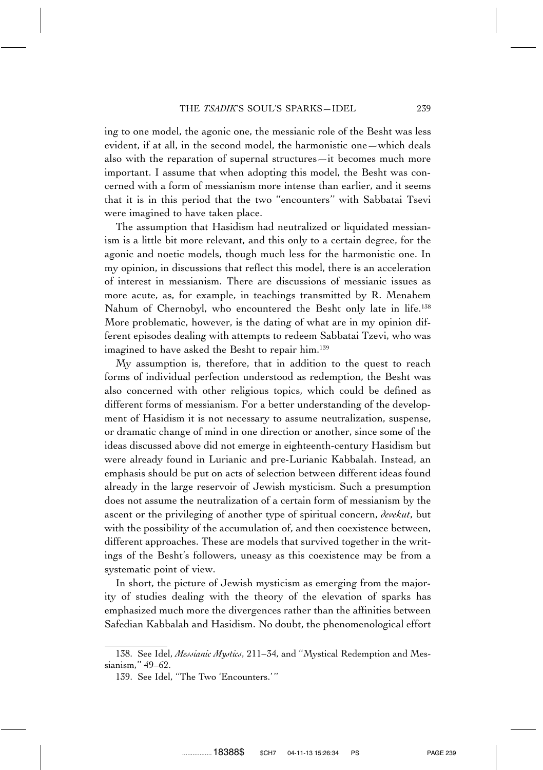ing to one model, the agonic one, the messianic role of the Besht was less evident, if at all, in the second model, the harmonistic one—which deals also with the reparation of supernal structures—it becomes much more important. I assume that when adopting this model, the Besht was concerned with a form of messianism more intense than earlier, and it seems that it is in this period that the two ''encounters'' with Sabbatai Tsevi were imagined to have taken place.

The assumption that Hasidism had neutralized or liquidated messianism is a little bit more relevant, and this only to a certain degree, for the agonic and noetic models, though much less for the harmonistic one. In my opinion, in discussions that reflect this model, there is an acceleration of interest in messianism. There are discussions of messianic issues as more acute, as, for example, in teachings transmitted by R. Menahem Nahum of Chernobyl, who encountered the Besht only late in life.<sup>138</sup> More problematic, however, is the dating of what are in my opinion different episodes dealing with attempts to redeem Sabbatai Tzevi, who was imagined to have asked the Besht to repair him.<sup>139</sup>

My assumption is, therefore, that in addition to the quest to reach forms of individual perfection understood as redemption, the Besht was also concerned with other religious topics, which could be defined as different forms of messianism. For a better understanding of the development of Hasidism it is not necessary to assume neutralization, suspense, or dramatic change of mind in one direction or another, since some of the ideas discussed above did not emerge in eighteenth-century Hasidism but were already found in Lurianic and pre-Lurianic Kabbalah. Instead, an emphasis should be put on acts of selection between different ideas found already in the large reservoir of Jewish mysticism. Such a presumption does not assume the neutralization of a certain form of messianism by the ascent or the privileging of another type of spiritual concern, *devekut*, but with the possibility of the accumulation of, and then coexistence between, different approaches. These are models that survived together in the writings of the Besht's followers, uneasy as this coexistence may be from a systematic point of view.

In short, the picture of Jewish mysticism as emerging from the majority of studies dealing with the theory of the elevation of sparks has emphasized much more the divergences rather than the affinities between Safedian Kabbalah and Hasidism. No doubt, the phenomenological effort

<sup>138.</sup> See Idel, *Messianic Mystics*, 211–34, and ''Mystical Redemption and Messianism," 49-62.

<sup>139.</sup> See Idel, ''The Two 'Encounters.' ''